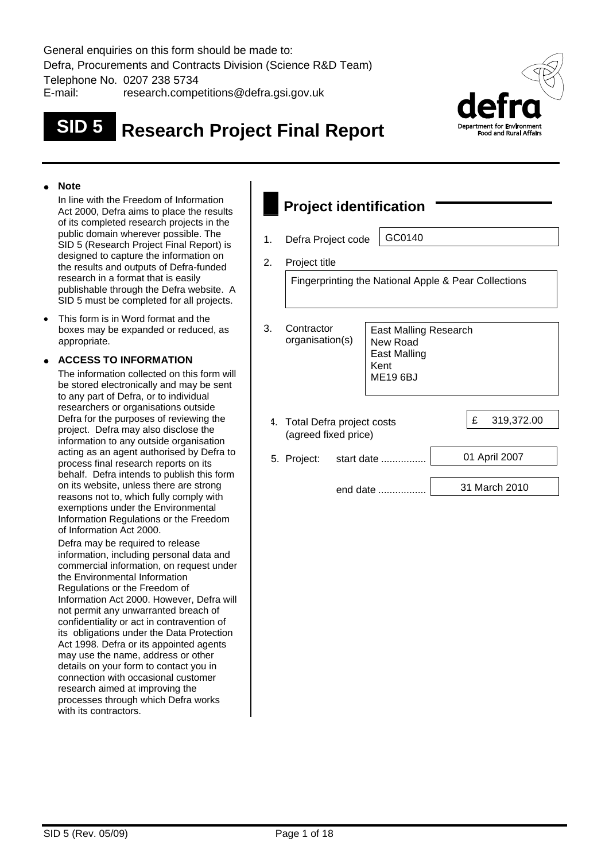General enquiries on this form should be made to: Defra, Procurements and Contracts Division (Science R&D Team) Telephone No. 0207 238 5734 E-mail: research.competitions@defra.gsi.gov.uk

# **SID 5 Research Project Final Report**



#### **Note**

In line with the Freedom of Information Act 2000, Defra aims to place the results of its completed research projects in the public domain wherever possible. The SID 5 (Research Project Final Report) is designed to capture the information on the results and outputs of Defra-funded research in a format that is easily publishable through the Defra website. A SID 5 must be completed for all projects.

 This form is in Word format and the boxes may be expanded or reduced, as appropriate.

#### **ACCESS TO INFORMATION**

The information collected on this form will be stored electronically and may be sent to any part of Defra, or to individual researchers or organisations outside Defra for the purposes of reviewing the project. Defra may also disclose the information to any outside organisation acting as an agent authorised by Defra to process final research reports on its behalf. Defra intends to publish this form on its website, unless there are strong reasons not to, which fully comply with exemptions under the Environmental Information Regulations or the Freedom of Information Act 2000.

Defra may be required to release information, including personal data and commercial information, on request under the Environmental Information Regulations or the Freedom of Information Act 2000. However, Defra will not permit any unwarranted breach of confidentiality or act in contravention of its obligations under the Data Protection Act 1998. Defra or its appointed agents may use the name, address or other details on your form to contact you in connection with occasional customer research aimed at improving the processes through which Defra works with its contractors.

# **Project identification**

1. Defra Project code | GC0140

2. Project title

Fingerprinting the National Apple & Pear Collections

| 3.                   | Contractor<br>organisation(s) | East Malling Research<br>New Road<br>East Malling<br>Kent<br><b>ME19 6BJ</b> |  |   |               |
|----------------------|-------------------------------|------------------------------------------------------------------------------|--|---|---------------|
|                      | 4. Total Defra project costs  |                                                                              |  | £ | 319,372.00    |
| (agreed fixed price) |                               |                                                                              |  |   |               |
|                      | 5. Project:                   | start date                                                                   |  |   | 01 April 2007 |
|                      |                               |                                                                              |  |   |               |

end date ................. 31 March 2010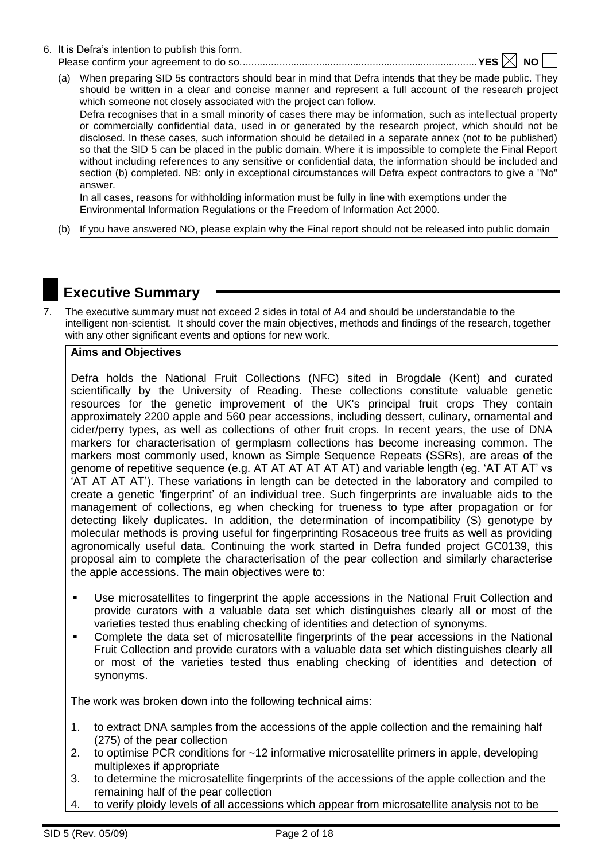6. It is Defra"s intention to publish this form.

Please confirm your agreement to do so....................................................................................**YES NO** 

(a) When preparing SID 5s contractors should bear in mind that Defra intends that they be made public. They should be written in a clear and concise manner and represent a full account of the research project which someone not closely associated with the project can follow.

Defra recognises that in a small minority of cases there may be information, such as intellectual property or commercially confidential data, used in or generated by the research project, which should not be disclosed. In these cases, such information should be detailed in a separate annex (not to be published) so that the SID 5 can be placed in the public domain. Where it is impossible to complete the Final Report without including references to any sensitive or confidential data, the information should be included and section (b) completed. NB: only in exceptional circumstances will Defra expect contractors to give a "No" answer.

In all cases, reasons for withholding information must be fully in line with exemptions under the Environmental Information Regulations or the Freedom of Information Act 2000.

(b) If you have answered NO, please explain why the Final report should not be released into public domain

# **Executive Summary**

7. The executive summary must not exceed 2 sides in total of A4 and should be understandable to the intelligent non-scientist. It should cover the main objectives, methods and findings of the research, together with any other significant events and options for new work.

# **Aims and Objectives**

Defra holds the National Fruit Collections (NFC) sited in Brogdale (Kent) and curated scientifically by the University of Reading. These collections constitute valuable genetic resources for the genetic improvement of the UK's principal fruit crops They contain approximately 2200 apple and 560 pear accessions, including dessert, culinary, ornamental and cider/perry types, as well as collections of other fruit crops. In recent years, the use of DNA markers for characterisation of germplasm collections has become increasing common. The markers most commonly used, known as Simple Sequence Repeats (SSRs), are areas of the genome of repetitive sequence (e.g. AT AT AT AT AT AT) and variable length (eg. "AT AT AT" vs "AT AT AT AT"). These variations in length can be detected in the laboratory and compiled to create a genetic "fingerprint" of an individual tree. Such fingerprints are invaluable aids to the management of collections, eg when checking for trueness to type after propagation or for detecting likely duplicates. In addition, the determination of incompatibility (S) genotype by molecular methods is proving useful for fingerprinting Rosaceous tree fruits as well as providing agronomically useful data. Continuing the work started in Defra funded project GC0139, this proposal aim to complete the characterisation of the pear collection and similarly characterise the apple accessions. The main objectives were to:

- Use microsatellites to fingerprint the apple accessions in the National Fruit Collection and provide curators with a valuable data set which distinguishes clearly all or most of the varieties tested thus enabling checking of identities and detection of synonyms.
- Complete the data set of microsatellite fingerprints of the pear accessions in the National Fruit Collection and provide curators with a valuable data set which distinguishes clearly all or most of the varieties tested thus enabling checking of identities and detection of synonyms.

The work was broken down into the following technical aims:

- 1. to extract DNA samples from the accessions of the apple collection and the remaining half (275) of the pear collection
- 2. to optimise PCR conditions for ~12 informative microsatellite primers in apple, developing multiplexes if appropriate
- 3. to determine the microsatellite fingerprints of the accessions of the apple collection and the remaining half of the pear collection
- 4. to verify ploidy levels of all accessions which appear from microsatellite analysis not to be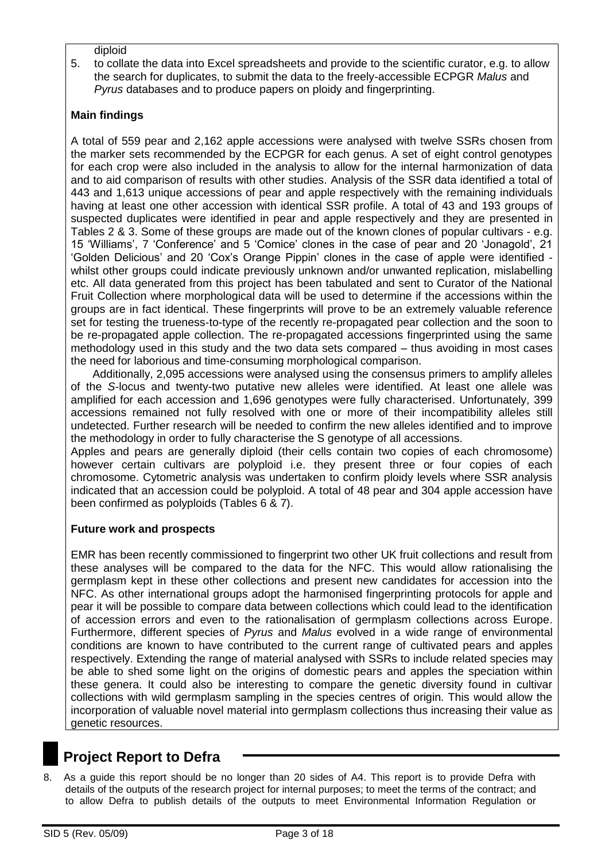#### diploid

5. to collate the data into Excel spreadsheets and provide to the scientific curator, e.g. to allow the search for duplicates, to submit the data to the freely-accessible ECPGR *Malus* and *Pyrus* databases and to produce papers on ploidy and fingerprinting.

# **Main findings**

A total of 559 pear and 2,162 apple accessions were analysed with twelve SSRs chosen from the marker sets recommended by the ECPGR for each genus. A set of eight control genotypes for each crop were also included in the analysis to allow for the internal harmonization of data and to aid comparison of results with other studies. Analysis of the SSR data identified a total of 443 and 1,613 unique accessions of pear and apple respectively with the remaining individuals having at least one other accession with identical SSR profile. A total of 43 and 193 groups of suspected duplicates were identified in pear and apple respectively and they are presented in Tables 2 & 3. Some of these groups are made out of the known clones of popular cultivars - e.g. 15 'Williams', 7 'Conference' and 5 'Comice' clones in the case of pear and 20 'Jonagold', 21 "Golden Delicious" and 20 "Cox"s Orange Pippin" clones in the case of apple were identified whilst other groups could indicate previously unknown and/or unwanted replication, mislabelling etc. All data generated from this project has been tabulated and sent to Curator of the National Fruit Collection where morphological data will be used to determine if the accessions within the groups are in fact identical. These fingerprints will prove to be an extremely valuable reference set for testing the trueness-to-type of the recently re-propagated pear collection and the soon to be re-propagated apple collection. The re-propagated accessions fingerprinted using the same methodology used in this study and the two data sets compared – thus avoiding in most cases the need for laborious and time-consuming morphological comparison.

Additionally, 2,095 accessions were analysed using the consensus primers to amplify alleles of the *S*-locus and twenty-two putative new alleles were identified. At least one allele was amplified for each accession and 1,696 genotypes were fully characterised. Unfortunately, 399 accessions remained not fully resolved with one or more of their incompatibility alleles still undetected. Further research will be needed to confirm the new alleles identified and to improve the methodology in order to fully characterise the S genotype of all accessions.

Apples and pears are generally diploid (their cells contain two copies of each chromosome) however certain cultivars are polyploid i.e. they present three or four copies of each chromosome. Cytometric analysis was undertaken to confirm ploidy levels where SSR analysis indicated that an accession could be polyploid. A total of 48 pear and 304 apple accession have been confirmed as polyploids (Tables 6 & 7).

# **Future work and prospects**

EMR has been recently commissioned to fingerprint two other UK fruit collections and result from these analyses will be compared to the data for the NFC. This would allow rationalising the germplasm kept in these other collections and present new candidates for accession into the NFC. As other international groups adopt the harmonised fingerprinting protocols for apple and pear it will be possible to compare data between collections which could lead to the identification of accession errors and even to the rationalisation of germplasm collections across Europe. Furthermore, different species of *Pyrus* and *Malus* evolved in a wide range of environmental conditions are known to have contributed to the current range of cultivated pears and apples respectively. Extending the range of material analysed with SSRs to include related species may be able to shed some light on the origins of domestic pears and apples the speciation within these genera. It could also be interesting to compare the genetic diversity found in cultivar collections with wild germplasm sampling in the species centres of origin. This would allow the incorporation of valuable novel material into germplasm collections thus increasing their value as genetic resources.

# **Project Report to Defra**

8. As a guide this report should be no longer than 20 sides of A4. This report is to provide Defra with details of the outputs of the research project for internal purposes; to meet the terms of the contract; and to allow Defra to publish details of the outputs to meet Environmental Information Regulation or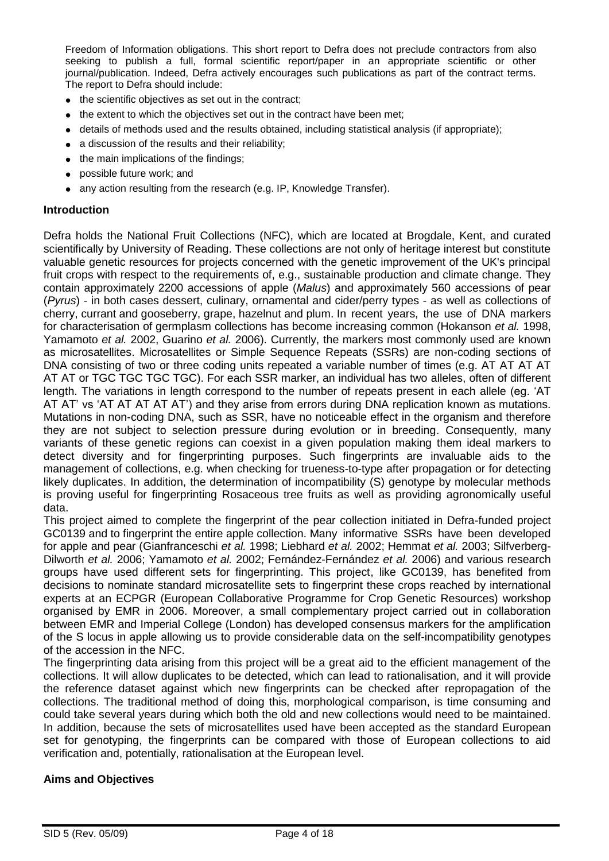Freedom of Information obligations. This short report to Defra does not preclude contractors from also seeking to publish a full, formal scientific report/paper in an appropriate scientific or other journal/publication. Indeed, Defra actively encourages such publications as part of the contract terms. The report to Defra should include:

- $\bullet$  the scientific objectives as set out in the contract;
- $\bullet$  the extent to which the objectives set out in the contract have been met;
- details of methods used and the results obtained, including statistical analysis (if appropriate);
- a discussion of the results and their reliability;
- the main implications of the findings;
- possible future work; and
- any action resulting from the research (e.g. IP, Knowledge Transfer).

## **Introduction**

Defra holds the National Fruit Collections (NFC), which are located at Brogdale, Kent, and curated scientifically by University of Reading. These collections are not only of heritage interest but constitute valuable genetic resources for projects concerned with the genetic improvement of the UK's principal fruit crops with respect to the requirements of, e.g., sustainable production and climate change. They contain approximately 2200 accessions of apple (*Malus*) and approximately 560 accessions of pear (*Pyrus*) - in both cases dessert, culinary, ornamental and cider/perry types - as well as collections of cherry, currant and gooseberry, grape, hazelnut and plum. In recent years, the use of DNA markers for characterisation of germplasm collections has become increasing common (Hokanson *et al.* 1998, Yamamoto *et al.* 2002, Guarino *et al.* 2006). Currently, the markers most commonly used are known as microsatellites. Microsatellites or Simple Sequence Repeats (SSRs) are non-coding sections of DNA consisting of two or three coding units repeated a variable number of times (e.g. AT AT AT AT AT AT or TGC TGC TGC TGC). For each SSR marker, an individual has two alleles, often of different length. The variations in length correspond to the number of repeats present in each allele (eg. "AT AT AT' vs 'AT AT AT AT AT') and they arise from errors during DNA replication known as mutations. Mutations in non-coding DNA, such as SSR, have no noticeable effect in the organism and therefore they are not subject to selection pressure during evolution or in breeding. Consequently, many variants of these genetic regions can coexist in a given population making them ideal markers to detect diversity and for fingerprinting purposes. Such fingerprints are invaluable aids to the management of collections, e.g. when checking for trueness-to-type after propagation or for detecting likely duplicates. In addition, the determination of incompatibility (S) genotype by molecular methods is proving useful for fingerprinting Rosaceous tree fruits as well as providing agronomically useful data.

This project aimed to complete the fingerprint of the pear collection initiated in Defra-funded project GC0139 and to fingerprint the entire apple collection. Many informative SSRs have been developed for apple and pear (Gianfranceschi *et al.* 1998; Liebhard *et al.* 2002; Hemmat *et al.* 2003; Silfverberg-Dilworth *et al.* 2006; Yamamoto *et al.* 2002; Fernández-Fernández *et al.* 2006) and various research groups have used different sets for fingerprinting. This project, like GC0139, has benefited from decisions to nominate standard microsatellite sets to fingerprint these crops reached by international experts at an ECPGR (European Collaborative Programme for Crop Genetic Resources) workshop organised by EMR in 2006. Moreover, a small complementary project carried out in collaboration between EMR and Imperial College (London) has developed consensus markers for the amplification of the S locus in apple allowing us to provide considerable data on the self-incompatibility genotypes of the accession in the NFC.

The fingerprinting data arising from this project will be a great aid to the efficient management of the collections. It will allow duplicates to be detected, which can lead to rationalisation, and it will provide the reference dataset against which new fingerprints can be checked after repropagation of the collections. The traditional method of doing this, morphological comparison, is time consuming and could take several years during which both the old and new collections would need to be maintained. In addition, because the sets of microsatellites used have been accepted as the standard European set for genotyping, the fingerprints can be compared with those of European collections to aid verification and, potentially, rationalisation at the European level.

# **Aims and Objectives**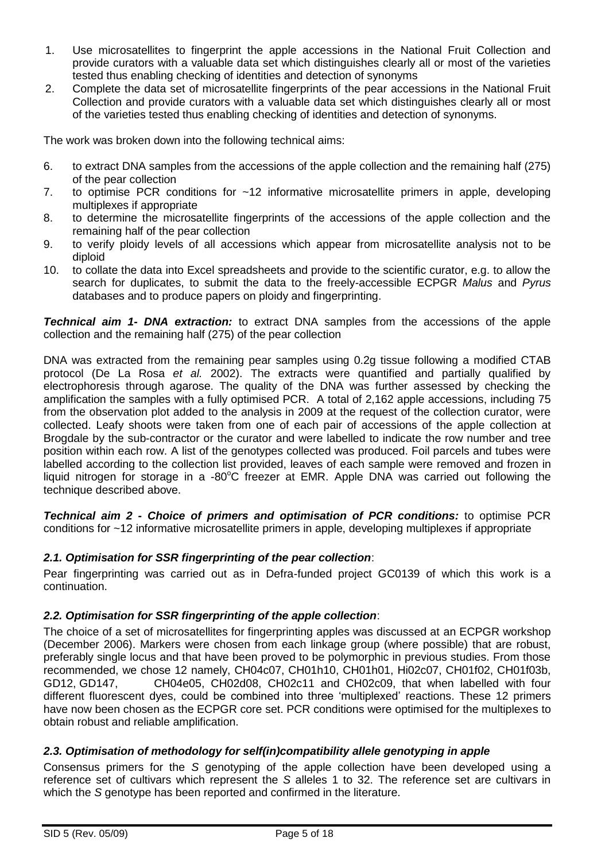- 1. Use microsatellites to fingerprint the apple accessions in the National Fruit Collection and provide curators with a valuable data set which distinguishes clearly all or most of the varieties tested thus enabling checking of identities and detection of synonyms
- 2. Complete the data set of microsatellite fingerprints of the pear accessions in the National Fruit Collection and provide curators with a valuable data set which distinguishes clearly all or most of the varieties tested thus enabling checking of identities and detection of synonyms.

The work was broken down into the following technical aims:

- 6. to extract DNA samples from the accessions of the apple collection and the remaining half (275) of the pear collection
- 7. to optimise PCR conditions for ~12 informative microsatellite primers in apple, developing multiplexes if appropriate
- 8. to determine the microsatellite fingerprints of the accessions of the apple collection and the remaining half of the pear collection
- 9. to verify ploidy levels of all accessions which appear from microsatellite analysis not to be diploid
- 10. to collate the data into Excel spreadsheets and provide to the scientific curator, e.g. to allow the search for duplicates, to submit the data to the freely-accessible ECPGR *Malus* and *Pyrus* databases and to produce papers on ploidy and fingerprinting.

*Technical aim 1- DNA extraction:* to extract DNA samples from the accessions of the apple collection and the remaining half (275) of the pear collection

DNA was extracted from the remaining pear samples using 0.2g tissue following a modified CTAB protocol (De La Rosa *et al.* 2002). The extracts were quantified and partially qualified by electrophoresis through agarose. The quality of the DNA was further assessed by checking the amplification the samples with a fully optimised PCR. A total of 2,162 apple accessions, including 75 from the observation plot added to the analysis in 2009 at the request of the collection curator, were collected. Leafy shoots were taken from one of each pair of accessions of the apple collection at Brogdale by the sub-contractor or the curator and were labelled to indicate the row number and tree position within each row. A list of the genotypes collected was produced. Foil parcels and tubes were labelled according to the collection list provided, leaves of each sample were removed and frozen in liquid nitrogen for storage in a -80 $\degree$ C freezer at EMR. Apple DNA was carried out following the technique described above.

*Technical aim 2 - Choice of primers and optimisation of PCR conditions:* to optimise PCR conditions for ~12 informative microsatellite primers in apple, developing multiplexes if appropriate

# *2.1. Optimisation for SSR fingerprinting of the pear collection*:

Pear fingerprinting was carried out as in Defra-funded project GC0139 of which this work is a continuation.

## *2.2. Optimisation for SSR fingerprinting of the apple collection*:

The choice of a set of microsatellites for fingerprinting apples was discussed at an ECPGR workshop (December 2006). Markers were chosen from each linkage group (where possible) that are robust, preferably single locus and that have been proved to be polymorphic in previous studies. From those recommended, we chose 12 namely, CH04c07, CH01h10, CH01h01, Hi02c07, CH01f02, CH01f03b, GD12, GD147, CH04e05, CH02d08, CH02c11 and CH02c09, that when labelled with four different fluorescent dyes, could be combined into three "multiplexed" reactions. These 12 primers have now been chosen as the ECPGR core set. PCR conditions were optimised for the multiplexes to obtain robust and reliable amplification.

## *2.3. Optimisation of methodology for self(in)compatibility allele genotyping in apple*

Consensus primers for the *S* genotyping of the apple collection have been developed using a reference set of cultivars which represent the *S* alleles 1 to 32. The reference set are cultivars in which the *S* genotype has been reported and confirmed in the literature.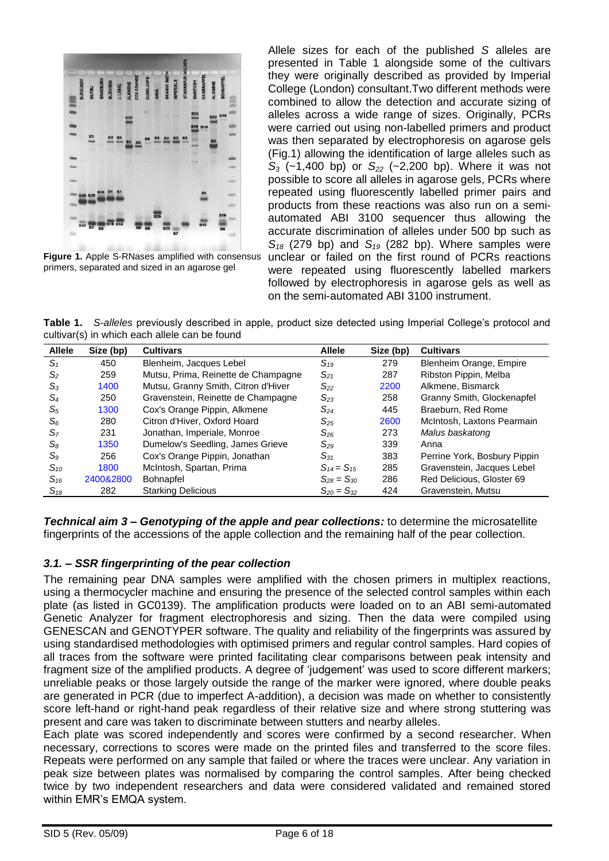

Allele sizes for each of the published *S* alleles are presented in Table 1 alongside some of the cultivars they were originally described as provided by Imperial College (London) consultant.Two different methods were combined to allow the detection and accurate sizing of alleles across a wide range of sizes. Originally, PCRs were carried out using non-labelled primers and product was then separated by electrophoresis on agarose gels (Fig.1) allowing the identification of large alleles such as *S<sup>3</sup>* (~1,400 bp) or *S<sup>22</sup>* (~2,200 bp). Where it was not possible to score all alleles in agarose gels, PCRs where repeated using fluorescently labelled primer pairs and products from these reactions was also run on a semiautomated ABI 3100 sequencer thus allowing the accurate discrimination of alleles under 500 bp such as *S<sup>18</sup>* (279 bp) and *S<sup>19</sup>* (282 bp). Where samples were unclear or failed on the first round of PCRs reactions were repeated using fluorescently labelled markers

followed by electrophoresis in agarose gels as well as

on the semi-automated ABI 3100 instrument.

**Figure 1.** Apple S-RNases amplified with consensus primers, separated and sized in an agarose gel

**Table 1.** *S-alleles* previously described in apple, product size detected using Imperial College"s protocol and cultivar(s) in which each allele can be found

| <b>Allele</b>  | Size (bp) | <b>Cultivars</b>                    | <b>Allele</b>     | Size (bp) | <b>Cultivars</b>             |
|----------------|-----------|-------------------------------------|-------------------|-----------|------------------------------|
| $S_1$          | 450       | Blenheim, Jacques Lebel             | $S_{19}$          | 279       | Blenheim Orange, Empire      |
| S <sub>2</sub> | 259       | Mutsu, Prima, Reinette de Champagne | $S_{21}$          | 287       | Ribston Pippin, Melba        |
| $S_3$          | 1400      | Mutsu, Granny Smith, Citron d'Hiver | $S_{22}$          | 2200      | Alkmene, Bismarck            |
| $S_4$          | 250       | Gravenstein, Reinette de Champagne  | $S_{23}$          | 258       | Granny Smith, Glockenapfel   |
| S <sub>5</sub> | 1300      | Cox's Orange Pippin, Alkmene        | $S_{24}$          | 445       | Braeburn, Red Rome           |
| $S_6$          | 280       | Citron d'Hiver, Oxford Hoard        | $S_{25}$          | 2600      | McIntosh, Laxtons Pearmain   |
| $S_7$          | 231       | Jonathan, Imperiale, Monroe         | $S_{26}$          | 273       | Malus baskatong              |
| $S_8$          | 1350      | Dumelow's Seedling, James Grieve    | $S_{29}$          | 339       | Anna                         |
| $S_9$          | 256       | Cox's Orange Pippin, Jonathan       | $S_{31}$          | 383       | Perrine York, Bosbury Pippin |
| $S_{10}$       | 1800      | McIntosh, Spartan, Prima            | $S_{14} = S_{15}$ | 285       | Gravenstein, Jacques Lebel   |
| $S_{16}$       | 2400&2800 | <b>Bohnapfel</b>                    | $S_{28} = S_{30}$ | 286       | Red Delicious, Gloster 69    |
| $S_{18}$       | 282       | <b>Starking Delicious</b>           | $S_{20} = S_{32}$ | 424       | Gravenstein, Mutsu           |

*Technical aim 3 – Genotyping of the apple and pear collections:* to determine the microsatellite fingerprints of the accessions of the apple collection and the remaining half of the pear collection.

## *3.1. – SSR fingerprinting of the pear collection*

The remaining pear DNA samples were amplified with the chosen primers in multiplex reactions, using a thermocycler machine and ensuring the presence of the selected control samples within each plate (as listed in GC0139). The amplification products were loaded on to an ABI semi-automated Genetic Analyzer for fragment electrophoresis and sizing. Then the data were compiled using GENESCAN and GENOTYPER software. The quality and reliability of the fingerprints was assured by using standardised methodologies with optimised primers and regular control samples. Hard copies of all traces from the software were printed facilitating clear comparisons between peak intensity and fragment size of the amplified products. A degree of "judgement" was used to score different markers; unreliable peaks or those largely outside the range of the marker were ignored, where double peaks are generated in PCR (due to imperfect A-addition), a decision was made on whether to consistently score left-hand or right-hand peak regardless of their relative size and where strong stuttering was present and care was taken to discriminate between stutters and nearby alleles.

Each plate was scored independently and scores were confirmed by a second researcher. When necessary, corrections to scores were made on the printed files and transferred to the score files. Repeats were performed on any sample that failed or where the traces were unclear. Any variation in peak size between plates was normalised by comparing the control samples. After being checked twice by two independent researchers and data were considered validated and remained stored within EMR"s EMQA system.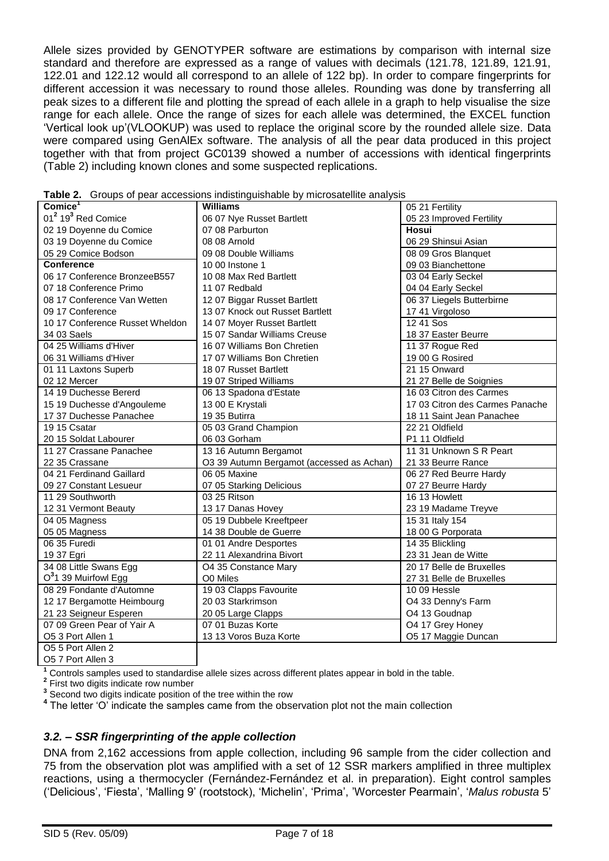Allele sizes provided by GENOTYPER software are estimations by comparison with internal size standard and therefore are expressed as a range of values with decimals (121.78, 121.89, 121.91, 122.01 and 122.12 would all correspond to an allele of 122 bp). In order to compare fingerprints for different accession it was necessary to round those alleles. Rounding was done by transferring all peak sizes to a different file and plotting the spread of each allele in a graph to help visualise the size range for each allele. Once the range of sizes for each allele was determined, the EXCEL function "Vertical look up"(VLOOKUP) was used to replace the original score by the rounded allele size. Data were compared using GenAlEx software. The analysis of all the pear data produced in this project together with that from project GC0139 showed a number of accessions with identical fingerprints (Table 2) including known clones and some suspected replications.

| Comice <sup>1</sup>                        | <b>Williams</b>                           | 05 21 Fertility                 |
|--------------------------------------------|-------------------------------------------|---------------------------------|
| 01 <sup>2</sup> 19 <sup>3</sup> Red Comice | 06 07 Nye Russet Bartlett                 | 05 23 Improved Fertility        |
| 02 19 Doyenne du Comice                    | 07 08 Parburton                           | <b>Hosui</b>                    |
| 03 19 Doyenne du Comice                    | 08 08 Arnold                              | 06 29 Shinsui Asian             |
| 05 29 Comice Bodson                        | 09 08 Double Williams                     | 08 09 Gros Blanquet             |
| <b>Conference</b>                          | 10 00 Instone 1                           | 09 03 Bianchettone              |
| 06 17 Conference BronzeeB557               | 10 08 Max Red Bartlett                    | 03 04 Early Seckel              |
| 07 18 Conference Primo                     | 11 07 Redbald                             | 04 04 Early Seckel              |
| 08 17 Conference Van Wetten                | 12 07 Biggar Russet Bartlett              | 06 37 Liegels Butterbirne       |
| 09 17 Conference                           | 13 07 Knock out Russet Bartlett           | 17 41 Virgoloso                 |
| 10 17 Conference Russet Wheldon            | 14 07 Moyer Russet Bartlett               | 12 41 Sos                       |
| 34 03 Saels                                | 15 07 Sandar Williams Creuse              | 18 37 Easter Beurre             |
| 04 25 Williams d'Hiver                     | 16 07 Williams Bon Chretien               | 11 37 Rogue Red                 |
| 06 31 Williams d'Hiver                     | 17 07 Williams Bon Chretien               | 19 00 G Rosired                 |
| 01 11 Laxtons Superb                       | 18 07 Russet Bartlett                     | 21 15 Onward                    |
| 02 12 Mercer                               | 19 07 Striped Williams                    | 21 27 Belle de Soignies         |
| 14 19 Duchesse Bererd                      | 06 13 Spadona d'Estate                    | 16 03 Citron des Carmes         |
| 15 19 Duchesse d'Angouleme                 | 13 00 E Krystali                          | 17 03 Citron des Carmes Panache |
| 17 37 Duchesse Panachee                    | 19 35 Butirra                             | 18 11 Saint Jean Panachee       |
| 19 15 Csatar                               | 05 03 Grand Champion                      | 22 21 Oldfield                  |
| 20 15 Soldat Labourer                      | 06 03 Gorham                              | P1 11 Oldfield                  |
| 11 27 Crassane Panachee                    | 13 16 Autumn Bergamot                     | 11 31 Unknown S R Peart         |
| 22 35 Crassane                             | O3 39 Autumn Bergamot (accessed as Achan) | 21 33 Beurre Rance              |
| 04 21 Ferdinand Gaillard                   | 06 05 Maxine                              | 06 27 Red Beurre Hardy          |
| 09 27 Constant Lesueur                     | 07 05 Starking Delicious                  | 07 27 Beurre Hardy              |
| 11 29 Southworth                           | 03 25 Ritson                              | 16 13 Howlett                   |
| 12 31 Vermont Beauty                       | 13 17 Danas Hovey                         | 23 19 Madame Treyve             |
| 04 05 Magness                              | 05 19 Dubbele Kreeftpeer                  | 15 31 Italy 154                 |
| 05 05 Magness                              | 14 38 Double de Guerre                    | 18 00 G Porporata               |
| 06 35 Furedi                               | 01 01 Andre Desportes                     | 14 35 Blickling                 |
| 19 37 Egri                                 | 22 11 Alexandrina Bivort                  | 23 31 Jean de Witte             |
| 34 08 Little Swans Egg                     | O4 35 Constance Mary                      | 20 17 Belle de Bruxelles        |
| O <sup>3</sup> 1 39 Muirfowl Egg           | O0 Miles                                  | 27 31 Belle de Bruxelles        |
| 08 29 Fondante d'Automne                   | 19 03 Clapps Favourite                    | 1009 Hessle                     |
| 12 17 Bergamotte Heimbourg                 | 20 03 Starkrimson                         | O4 33 Denny's Farm              |
| 21 23 Seigneur Esperen                     | 20 05 Large Clapps                        | O4 13 Goudnap                   |
| 07 09 Green Pear of Yair A                 | 07 01 Buzas Korte                         | O4 17 Grey Honey                |
| O5 3 Port Allen 1                          | 13 13 Voros Buza Korte                    | O5 17 Maggie Duncan             |
| O5 5 Port Allen 2                          |                                           |                                 |

**Table 2.** Groups of pear accessions indistinguishable by microsatellite analysis

O5 7 Port Allen 3

**<sup>1</sup>** Controls samples used to standardise allele sizes across different plates appear in bold in the table.

**2** First two digits indicate row number

**3** Second two digits indicate position of the tree within the row

**4** The letter "O" indicate the samples came from the observation plot not the main collection

# *3.2. – SSR fingerprinting of the apple collection*

DNA from 2,162 accessions from apple collection, including 96 sample from the cider collection and 75 from the observation plot was amplified with a set of 12 SSR markers amplified in three multiplex reactions, using a thermocycler (Fernández-Fernández et al. in preparation). Eight control samples ("Delicious", "Fiesta", "Malling 9" (rootstock), "Michelin", "Prima", "Worcester Pearmain", "*Malus robusta* 5"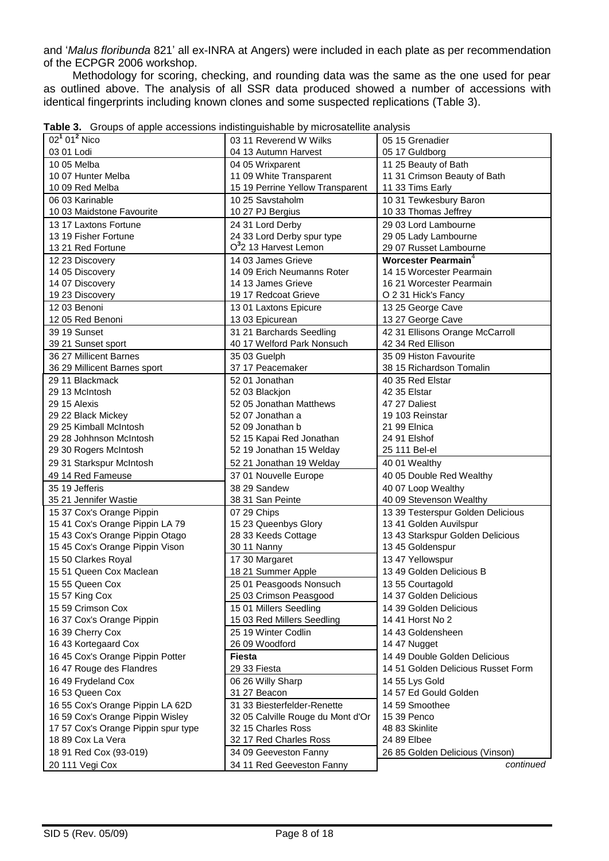and "*Malus floribunda* 821" all ex-INRA at Angers) were included in each plate as per recommendation of the ECPGR 2006 workshop.

Methodology for scoring, checking, and rounding data was the same as the one used for pear as outlined above. The analysis of all SSR data produced showed a number of accessions with identical fingerprints including known clones and some suspected replications (Table 3).

| $02^1 01^2$ Nico                    | 03 11 Reverend W Wilks            | 05 15 Grenadier                    |
|-------------------------------------|-----------------------------------|------------------------------------|
| 03 01 Lodi                          | 04 13 Autumn Harvest              | 05 17 Guldborg                     |
| 10 05 Melba                         | 04 05 Wrixparent                  | 11 25 Beauty of Bath               |
| 10 07 Hunter Melba                  | 11 09 White Transparent           | 11 31 Crimson Beauty of Bath       |
| 10 09 Red Melba                     | 15 19 Perrine Yellow Transparent  | 11 33 Tims Early                   |
| 06 03 Karinable                     | 10 25 Savstaholm                  | 10 31 Tewkesbury Baron             |
| 10 03 Maidstone Favourite           | 10 27 PJ Bergius                  | 10 33 Thomas Jeffrey               |
| 13 17 Laxtons Fortune               | 24 31 Lord Derby                  | 29 03 Lord Lambourne               |
| 13 19 Fisher Fortune                | 24 33 Lord Derby spur type        | 29 05 Lady Lambourne               |
| 13 21 Red Fortune                   | O <sup>3</sup> 2 13 Harvest Lemon | 29 07 Russet Lambourne             |
| 12 23 Discovery                     | 14 03 James Grieve                | Worcester Pearmain <sup>4</sup>    |
| 14 05 Discovery                     | 14 09 Erich Neumanns Roter        | 14 15 Worcester Pearmain           |
| 14 07 Discovery                     | 14 13 James Grieve                | 16 21 Worcester Pearmain           |
| 19 23 Discovery                     | 19 17 Redcoat Grieve              | O 2 31 Hick's Fancy                |
| 12 03 Benoni                        | 13 01 Laxtons Epicure             | 13 25 George Cave                  |
| 12 05 Red Benoni                    | 13 03 Epicurean                   | 13 27 George Cave                  |
| 39 19 Sunset                        | 31 21 Barchards Seedling          | 42 31 Ellisons Orange McCarroll    |
| 39 21 Sunset sport                  | 40 17 Welford Park Nonsuch        | 42 34 Red Ellison                  |
| 36 27 Millicent Barnes              | 35 03 Guelph                      | 35 09 Histon Favourite             |
| 36 29 Millicent Barnes sport        | 37 17 Peacemaker                  | 38 15 Richardson Tomalin           |
| 29 11 Blackmack                     | 52 01 Jonathan                    | 40 35 Red Elstar                   |
| 29 13 McIntosh                      | 52 03 Blackjon                    | 42 35 Elstar                       |
| 29 15 Alexis                        | 52 05 Jonathan Matthews           | 47 27 Daliest                      |
| 29 22 Black Mickey                  | 52 07 Jonathan a                  | 19 103 Reinstar                    |
| 29 25 Kimball McIntosh              | 52 09 Jonathan b                  | 21 99 Elnica                       |
| 29 28 Johhnson McIntosh             | 52 15 Kapai Red Jonathan          | 24 91 Elshof                       |
| 29 30 Rogers McIntosh               | 52 19 Jonathan 15 Welday          | 25 111 Bel-el                      |
| 29 31 Starkspur McIntosh            | 52 21 Jonathan 19 Welday          | 40 01 Wealthy                      |
| 49 14 Red Fameuse                   | 37 01 Nouvelle Europe             | 40 05 Double Red Wealthy           |
| 35 19 Jefferis                      | 38 29 Sandew                      | 40 07 Loop Wealthy                 |
| 35 21 Jennifer Wastie               | 38 31 San Peinte                  | 40 09 Stevenson Wealthy            |
| 15 37 Cox's Orange Pippin           | 07 29 Chips                       | 13 39 Testerspur Golden Delicious  |
| 15 41 Cox's Orange Pippin LA 79     | 15 23 Queenbys Glory              | 13 41 Golden Auvilspur             |
| 15 43 Cox's Orange Pippin Otago     | 28 33 Keeds Cottage               | 13 43 Starkspur Golden Delicious   |
| 15 45 Cox's Orange Pippin Vison     | 30 11 Nanny                       | 13 45 Goldenspur                   |
| 15 50 Clarkes Royal                 | 17 30 Margaret                    | 13 47 Yellowspur                   |
| 15 51 Queen Cox Maclean             | 18 21 Summer Apple                | 13 49 Golden Delicious B           |
| 15 55 Queen Cox                     | 25 01 Peasgoods Nonsuch           | 13 55 Courtagold                   |
| 15 57 King Cox                      | 25 03 Crimson Peasgood            | 14 37 Golden Delicious             |
| 15 59 Crimson Cox                   | 15 01 Millers Seedling            | 14 39 Golden Delicious             |
| 16 37 Cox's Orange Pippin           | 15 03 Red Millers Seedling        | 14 41 Horst No 2                   |
| 16 39 Cherry Cox                    | 25 19 Winter Codlin               | 14 43 Goldensheen                  |
| 16 43 Kortegaard Cox                | 26 09 Woodford                    | 14 47 Nugget                       |
| 16 45 Cox's Orange Pippin Potter    | <b>Fiesta</b>                     | 14 49 Double Golden Delicious      |
| 16 47 Rouge des Flandres            | 29 33 Fiesta                      | 14 51 Golden Delicious Russet Form |
| 16 49 Frydeland Cox                 | 06 26 Willy Sharp                 | 14 55 Lys Gold                     |
| 16 53 Queen Cox                     | 31 27 Beacon                      | 14 57 Ed Gould Golden              |
| 16 55 Cox's Orange Pippin LA 62D    | 31 33 Biesterfelder-Renette       | 14 59 Smoothee                     |
| 16 59 Cox's Orange Pippin Wisley    | 32 05 Calville Rouge du Mont d'Or | 15 39 Penco                        |
| 17 57 Cox's Orange Pippin spur type | 32 15 Charles Ross                | 48 83 Skinlite                     |
| 18 89 Cox La Vera                   | 32 17 Red Charles Ross            | 24 89 Elbee                        |
| 18 91 Red Cox (93-019)              | 34 09 Geeveston Fanny             | 26 85 Golden Delicious (Vinson)    |
| 20 111 Vegi Cox                     | 34 11 Red Geeveston Fanny         | continued                          |
|                                     |                                   |                                    |

**Table 3.** Groups of apple accessions indistinguishable by microsatellite analysis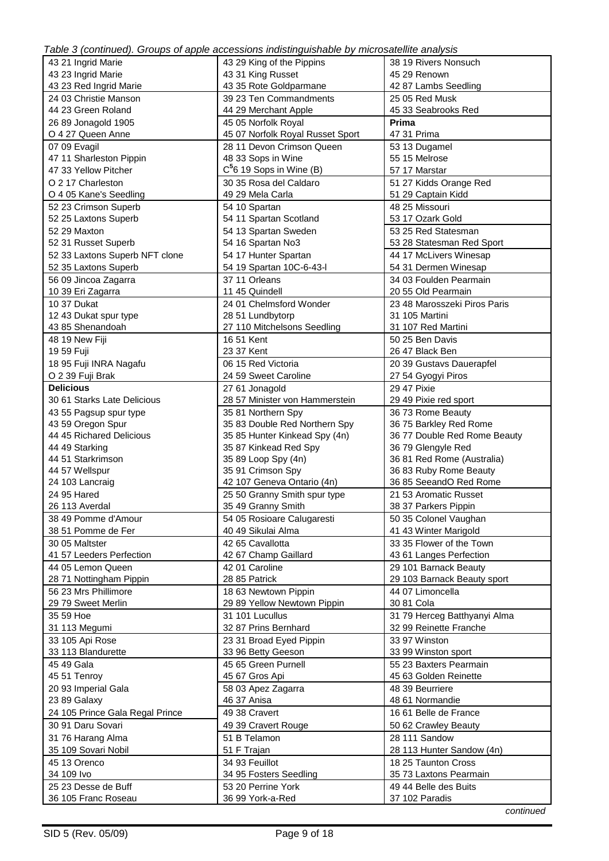*Table 3 (continued). Groups of apple accessions indistinguishable by microsatellite analysis*

| rabio o footimidod). Orodpo oi appro accessiono indicinigalonabio by microcatellito analysis |                                  |                              |
|----------------------------------------------------------------------------------------------|----------------------------------|------------------------------|
| 43 21 Ingrid Marie                                                                           | 43 29 King of the Pippins        | 38 19 Rivers Nonsuch         |
| 43 23 Ingrid Marie                                                                           | 43 31 King Russet                | 45 29 Renown                 |
| 43 23 Red Ingrid Marie                                                                       | 43 35 Rote Goldparmane           | 42 87 Lambs Seedling         |
| 24 03 Christie Manson                                                                        | 39 23 Ten Commandments           | 25 05 Red Musk               |
| 44 23 Green Roland                                                                           | 44 29 Merchant Apple             | 45 33 Seabrooks Red          |
| 26 89 Jonagold 1905                                                                          | 45 05 Norfolk Royal              | Prima                        |
| O 4 27 Queen Anne                                                                            | 45 07 Norfolk Royal Russet Sport | 47 31 Prima                  |
| 07 09 Evagil                                                                                 | 28 11 Devon Crimson Queen        | 53 13 Dugamel                |
|                                                                                              |                                  |                              |
| 47 11 Sharleston Pippin                                                                      | 48 33 Sops in Wine               | 55 15 Melrose                |
| 47 33 Yellow Pitcher                                                                         | $C56$ 19 Sops in Wine (B)        | 57 17 Marstar                |
| O 2 17 Charleston                                                                            | 30 35 Rosa del Caldaro           | 51 27 Kidds Orange Red       |
| O 4 05 Kane's Seedling                                                                       | 49 29 Mela Carla                 | 51 29 Captain Kidd           |
| 52 23 Crimson Superb                                                                         | 54 10 Spartan                    | 48 25 Missouri               |
| 52 25 Laxtons Superb                                                                         | 54 11 Spartan Scotland           | 53 17 Ozark Gold             |
| 52 29 Maxton                                                                                 | 54 13 Spartan Sweden             | 53 25 Red Statesman          |
| 52 31 Russet Superb                                                                          | 54 16 Spartan No3                | 53 28 Statesman Red Sport    |
|                                                                                              |                                  |                              |
| 52 33 Laxtons Superb NFT clone                                                               | 54 17 Hunter Spartan             | 44 17 McLivers Winesap       |
| 52 35 Laxtons Superb                                                                         | 54 19 Spartan 10C-6-43-I         | 54 31 Dermen Winesap         |
| 56 09 Jincoa Zagarra                                                                         | 37 11 Orleans                    | 34 03 Foulden Pearmain       |
| 10 39 Eri Zagarra                                                                            | 11 45 Quindell                   | 20 55 Old Pearmain           |
| <b>10 37 Dukat</b>                                                                           | 24 01 Chelmsford Wonder          | 23 48 Marosszeki Piros Paris |
| 12 43 Dukat spur type                                                                        | 28 51 Lundbytorp                 | 31 105 Martini               |
| 43 85 Shenandoah                                                                             | 27 110 Mitchelsons Seedling      | 31 107 Red Martini           |
| 48 19 New Fiji                                                                               | 16 51 Kent                       | 50 25 Ben Davis              |
|                                                                                              |                                  |                              |
| 19 59 Fuji                                                                                   | 23 37 Kent                       | 26 47 Black Ben              |
| 18 95 Fuji INRA Nagafu                                                                       | 06 15 Red Victoria               | 20 39 Gustavs Dauerapfel     |
| O 2 39 Fuji Brak                                                                             | 24 59 Sweet Caroline             | 27 54 Gyogyi Piros           |
| <b>Delicious</b>                                                                             | 27 61 Jonagold                   | 29 47 Pixie                  |
| 30 61 Starks Late Delicious                                                                  | 28 57 Minister von Hammerstein   | 29 49 Pixie red sport        |
| 43 55 Pagsup spur type                                                                       | 35 81 Northern Spy               | 36 73 Rome Beauty            |
|                                                                                              |                                  |                              |
| 43 59 Oregon Spur                                                                            | 35 83 Double Red Northern Spy    | 36 75 Barkley Red Rome       |
| 44 45 Richared Delicious                                                                     | 35 85 Hunter Kinkead Spy (4n)    | 36 77 Double Red Rome Beauty |
| 44 49 Starking                                                                               | 35 87 Kinkead Red Spy            | 36 79 Glengyle Red           |
| 44 51 Starkrimson                                                                            | 35 89 Loop Spy (4n)              | 36 81 Red Rome (Australia)   |
| 44 57 Wellspur                                                                               | 35 91 Crimson Spy                | 36 83 Ruby Rome Beauty       |
| 24 103 Lancraig                                                                              | 42 107 Geneva Ontario (4n)       | 36 85 SeeandO Red Rome       |
| 24 95 Hared                                                                                  | 25 50 Granny Smith spur type     | 21 53 Aromatic Russet        |
| 26 113 Averdal                                                                               | 35 49 Granny Smith               | 38 37 Parkers Pippin         |
| 38 49 Pomme d'Amour                                                                          | 54 05 Rosioare Calugaresti       | 50 35 Colonel Vaughan        |
|                                                                                              |                                  |                              |
| 38 51 Pomme de Fer                                                                           | 40 49 Sikulai Alma               | 41 43 Winter Marigold        |
| 30 05 Maltster                                                                               | 42 65 Cavallotta                 | 33 35 Flower of the Town     |
| 41 57 Leeders Perfection                                                                     | 42 67 Champ Gaillard             | 43 61 Langes Perfection      |
| 44 05 Lemon Queen                                                                            | 42 01 Caroline                   | 29 101 Barnack Beauty        |
| 28 71 Nottingham Pippin                                                                      | 28 85 Patrick                    | 29 103 Barnack Beauty sport  |
| 56 23 Mrs Phillimore                                                                         | 18 63 Newtown Pippin             | 44 07 Limoncella             |
| 29 79 Sweet Merlin                                                                           | 29 89 Yellow Newtown Pippin      | 30 81 Cola                   |
|                                                                                              |                                  |                              |
| 35 59 Hoe                                                                                    | 31 101 Lucullus                  | 31 79 Herceg Batthyanyi Alma |
| 31 113 Megumi                                                                                | 32 87 Prins Bernhard             | 32 99 Reinette Franche       |
| 33 105 Api Rose                                                                              | 23 31 Broad Eyed Pippin          | 33 97 Winston                |
| 33 113 Blandurette                                                                           | 33 96 Betty Geeson               | 33 99 Winston sport          |
| 45 49 Gala                                                                                   | 45 65 Green Purnell              | 55 23 Baxters Pearmain       |
| 45 51 Tenroy                                                                                 | 45 67 Gros Api                   | 45 63 Golden Reinette        |
| 20 93 Imperial Gala                                                                          | 58 03 Apez Zagarra               | 48 39 Beurriere              |
| 23 89 Galaxy                                                                                 | 46 37 Anisa                      | 48 61 Normandie              |
|                                                                                              |                                  |                              |
| 24 105 Prince Gala Regal Prince                                                              | 49 38 Cravert                    | 16 61 Belle de France        |
| 30 91 Daru Sovari                                                                            | 49 39 Cravert Rouge              | 50 62 Crawley Beauty         |
| 31 76 Harang Alma                                                                            | 51 B Telamon                     | 28 111 Sandow                |
| 35 109 Sovari Nobil                                                                          | 51 F Trajan                      | 28 113 Hunter Sandow (4n)    |
| 45 13 Orenco                                                                                 | 34 93 Feuillot                   | 18 25 Taunton Cross          |
| 34 109 Ivo                                                                                   | 34 95 Fosters Seedling           | 35 73 Laxtons Pearmain       |
|                                                                                              |                                  |                              |
| 25 23 Desse de Buff                                                                          | 53 20 Perrine York               | 49 44 Belle des Buits        |
| 36 105 Franc Roseau                                                                          | 36 99 York-a-Red                 | 37 102 Paradis               |
|                                                                                              |                                  | continued                    |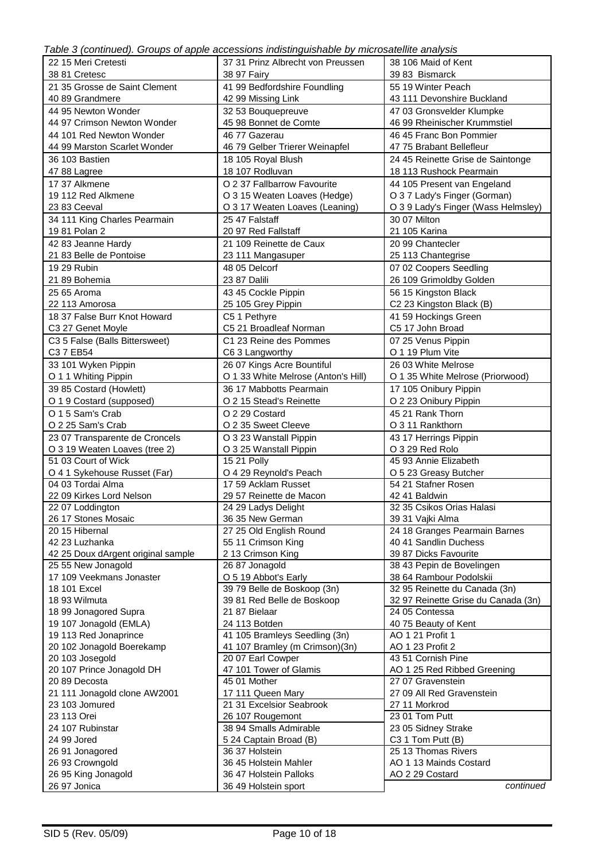*Table 3 (continued). Groups of apple accessions indistinguishable by microsatellite analysis*

| $\sim$ (commention), which is the computation of $\sim$<br>22 15 Meri Cretesti | 37 31 Prinz Albrecht von Preussen         | 38 106 Maid of Kent                               |
|--------------------------------------------------------------------------------|-------------------------------------------|---------------------------------------------------|
| 38 81 Cretesc                                                                  | 38 97 Fairy                               | 39 83 Bismarck                                    |
| 21 35 Grosse de Saint Clement                                                  | 41 99 Bedfordshire Foundling              | 55 19 Winter Peach                                |
| 40 89 Grandmere                                                                | 42 99 Missing Link                        | 43 111 Devonshire Buckland                        |
| 44 95 Newton Wonder                                                            | 32 53 Bouquepreuve                        | 47 03 Gronsvelder Klumpke                         |
| 44 97 Crimson Newton Wonder                                                    | 45 98 Bonnet de Comte                     | 46 99 Rheinischer Krummstiel                      |
| 44 101 Red Newton Wonder                                                       | 46 77 Gazerau                             | 46 45 Franc Bon Pommier                           |
| 44 99 Marston Scarlet Wonder                                                   | 46 79 Gelber Trierer Weinapfel            | 47 75 Brabant Bellefleur                          |
| 36 103 Bastien                                                                 | 18 105 Royal Blush                        | 24 45 Reinette Grise de Saintonge                 |
| 47 88 Lagree                                                                   | 18 107 Rodluvan                           | 18 113 Rushock Pearmain                           |
| 17 37 Alkmene                                                                  | O 2 37 Fallbarrow Favourite               | 44 105 Present van Engeland                       |
| 19 112 Red Alkmene                                                             | O 3 15 Weaten Loaves (Hedge)              | O 37 Lady's Finger (Gorman)                       |
| 23 83 Ceeval                                                                   | O 3 17 Weaten Loaves (Leaning)            | O 3 9 Lady's Finger (Wass Helmsley)               |
| 34 111 King Charles Pearmain                                                   | 25 47 Falstaff                            | 30 07 Milton                                      |
| 19 81 Polan 2                                                                  | 20 97 Red Fallstaff                       | 21 105 Karina                                     |
| 42 83 Jeanne Hardy                                                             | 21 109 Reinette de Caux                   | 20 99 Chantecler                                  |
| 21 83 Belle de Pontoise                                                        | 23 111 Mangasuper                         | 25 113 Chantegrise                                |
| 19 29 Rubin                                                                    | 48 05 Delcorf                             |                                                   |
| 21 89 Bohemia                                                                  | 23 87 Dalili                              | 07 02 Coopers Seedling<br>26 109 Grimoldby Golden |
|                                                                                |                                           |                                                   |
| 25 65 Aroma<br>22 113 Amorosa                                                  | 43 45 Cockle Pippin<br>25 105 Grey Pippin | 56 15 Kingston Black<br>C2 23 Kingston Black (B)  |
|                                                                                |                                           |                                                   |
| 18 37 False Burr Knot Howard                                                   | C5 1 Pethyre<br>C5 21 Broadleaf Norman    | 41 59 Hockings Green                              |
| C3 27 Genet Moyle                                                              |                                           | C5 17 John Broad                                  |
| C3 5 False (Balls Bittersweet)                                                 | C1 23 Reine des Pommes                    | 07 25 Venus Pippin                                |
| C37EB54                                                                        | C6 3 Langworthy                           | O 1 19 Plum Vite                                  |
| 33 101 Wyken Pippin                                                            | 26 07 Kings Acre Bountiful                | 26 03 White Melrose                               |
| O 1 1 Whiting Pippin                                                           | O 1 33 White Melrose (Anton's Hill)       | O 1 35 White Melrose (Priorwood)                  |
| 39 85 Costard (Howlett)                                                        | 36 17 Mabbotts Pearmain                   | 17 105 Onibury Pippin                             |
| O 1 9 Costard (supposed)                                                       | O 2 15 Stead's Reinette                   | O 2 23 Onibury Pippin                             |
| O 1 5 Sam's Crab                                                               | O 2 29 Costard                            | 45 21 Rank Thorn                                  |
| O 2 25 Sam's Crab                                                              | O 2 35 Sweet Cleeve                       | O 3 11 Rankthorn                                  |
| 23 07 Transparente de Croncels                                                 | O 3 23 Wanstall Pippin                    | 43 17 Herrings Pippin                             |
| O 3 19 Weaten Loaves (tree 2)                                                  | O 3 25 Wanstall Pippin                    | O 3 29 Red Rolo                                   |
| 51 03 Court of Wick<br>O 4 1 Sykehouse Russet (Far)                            | 15 21 Polly<br>O 4 29 Reynold's Peach     | 45 93 Annie Elizabeth<br>O 5 23 Greasy Butcher    |
| 04 03 Tordai Alma                                                              | 17 59 Acklam Russet                       | 54 21 Stafner Rosen                               |
| 22 09 Kirkes Lord Nelson                                                       | 29 57 Reinette de Macon                   | 42 41 Baldwin                                     |
| 22 07 Loddington                                                               | 24 29 Ladys Delight                       | 32 35 Csikos Orias Halasi                         |
| 26 17 Stones Mosaic                                                            | 36 35 New German                          | 39 31 Vajki Alma                                  |
| 20 15 Hibernal                                                                 | 27 25 Old English Round                   | 24 18 Granges Pearmain Barnes                     |
| 42 23 Luzhanka                                                                 | 55 11 Crimson King                        | 40 41 Sandlin Duchess                             |
| 42 25 Doux dArgent original sample                                             | 2 13 Crimson King                         | 39 87 Dicks Favourite                             |
| 25 55 New Jonagold                                                             | 26 87 Jonagold                            | 38 43 Pepin de Bovelingen                         |
| 17 109 Veekmans Jonaster                                                       | O 5 19 Abbot's Early                      | 38 64 Rambour Podolskii                           |
| 18 101 Excel                                                                   | 39 79 Belle de Boskoop (3n)               | 32 95 Reinette du Canada (3n)                     |
| 18 93 Wilmuta                                                                  | 39 81 Red Belle de Boskoop                | 32 97 Reinette Grise du Canada (3n)               |
| 18 99 Jonagored Supra                                                          | 21 87 Bielaar                             | 24 05 Contessa                                    |
| 19 107 Jonagold (EMLA)                                                         | 24 113 Botden                             | 40 75 Beauty of Kent                              |
| 19 113 Red Jonaprince                                                          | 41 105 Bramleys Seedling (3n)             | AO 1 21 Profit 1                                  |
| 20 102 Jonagold Boerekamp                                                      | 41 107 Bramley (m Crimson)(3n)            | AO 1 23 Profit 2                                  |
| 20 103 Josegold                                                                | 20 07 Earl Cowper                         | 43 51 Cornish Pine                                |
| 20 107 Prince Jonagold DH                                                      | 47 101 Tower of Glamis                    | AO 1 25 Red Ribbed Greening                       |
| 20 89 Decosta                                                                  | 45 01 Mother                              | 27 07 Gravenstein                                 |
| 21 111 Jonagold clone AW2001                                                   | 17 111 Queen Mary                         | 27 09 All Red Gravenstein                         |
| 23 103 Jomured                                                                 | 21 31 Excelsior Seabrook                  | 27 11 Morkrod                                     |
| 23 113 Orei                                                                    | 26 107 Rougemont                          | 23 01 Tom Putt                                    |
| 24 107 Rubinstar                                                               | 38 94 Smalls Admirable                    | 23 05 Sidney Strake                               |
| 24 99 Jored                                                                    | 5 24 Captain Broad (B)                    | C3 1 Tom Putt (B)                                 |
| 26 91 Jonagored                                                                | 36 37 Holstein                            | 25 13 Thomas Rivers                               |
| 26 93 Crowngold                                                                | 36 45 Holstein Mahler                     | AO 1 13 Mainds Costard                            |
| 26 95 King Jonagold                                                            | 36 47 Holstein Palloks                    | AO 2 29 Costard                                   |
| 26 97 Jonica                                                                   | 36 49 Holstein sport                      | continued                                         |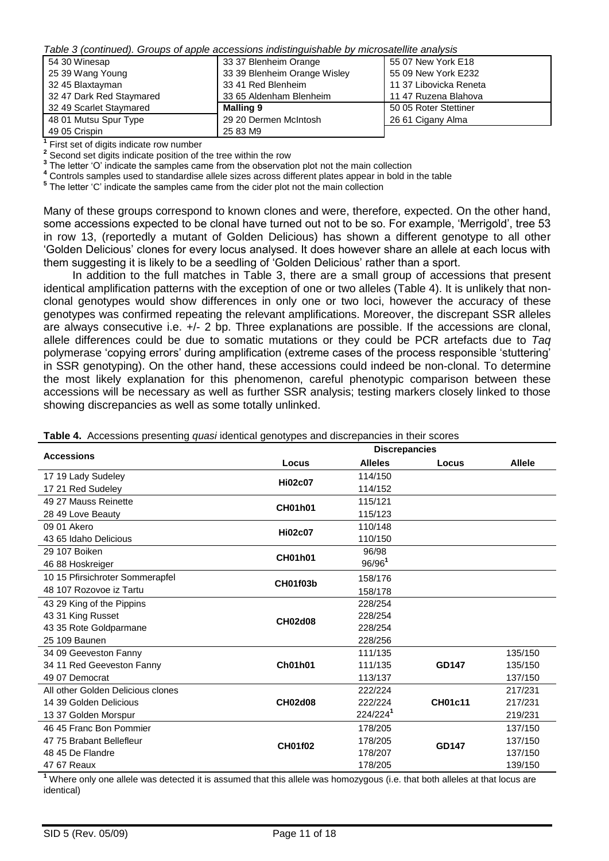*Table 3 (continued). Groups of apple accessions indistinguishable by microsatellite analysis*

| rapic o juomintudy. Orogos or apple accessions indistinguishable by microsateme analysis |                              |                        |  |  |  |  |
|------------------------------------------------------------------------------------------|------------------------------|------------------------|--|--|--|--|
| 54 30 Winesap                                                                            | 33 37 Blenheim Orange        | 55 07 New York E18     |  |  |  |  |
| 25 39 Wang Young                                                                         | 33 39 Blenheim Orange Wisley | 55 09 New York E232    |  |  |  |  |
| 32 45 Blaxtayman                                                                         | 33 41 Red Blenheim           | 11 37 Libovicka Reneta |  |  |  |  |
| 32 47 Dark Red Staymared                                                                 | 33 65 Aldenham Blenheim      | 11 47 Ruzena Blahova   |  |  |  |  |
| 32 49 Scarlet Staymared                                                                  | <b>Malling 9</b>             | 50 05 Roter Stettiner  |  |  |  |  |
| 48 01 Mutsu Spur Type                                                                    | 29 20 Dermen McIntosh        | 26 61 Cigany Alma      |  |  |  |  |
| 49 05 Crispin                                                                            | 25 83 M9                     |                        |  |  |  |  |

**1** First set of digits indicate row number

<sup>2</sup> Second set digits indicate position of the tree within the row

<sup>3</sup> The letter 'O' indicate the samples came from the observation plot not the main collection

**<sup>4</sup>** Controls samples used to standardise allele sizes across different plates appear in bold in the table

<sup>5</sup> The letter 'C' indicate the samples came from the cider plot not the main collection

Many of these groups correspond to known clones and were, therefore, expected. On the other hand, some accessions expected to be clonal have turned out not to be so. For example, "Merrigold", tree 53 in row 13, (reportedly a mutant of Golden Delicious) has shown a different genotype to all other "Golden Delicious" clones for every locus analysed. It does however share an allele at each locus with them suggesting it is likely to be a seedling of 'Golden Delicious' rather than a sport.

In addition to the full matches in Table 3, there are a small group of accessions that present identical amplification patterns with the exception of one or two alleles (Table 4). It is unlikely that nonclonal genotypes would show differences in only one or two loci, however the accuracy of these genotypes was confirmed repeating the relevant amplifications. Moreover, the discrepant SSR alleles are always consecutive i.e. +/- 2 bp. Three explanations are possible. If the accessions are clonal, allele differences could be due to somatic mutations or they could be PCR artefacts due to *Taq* polymerase "copying errors" during amplification (extreme cases of the process responsible "stuttering" in SSR genotyping). On the other hand, these accessions could indeed be non-clonal. To determine the most likely explanation for this phenomenon, careful phenotypic comparison between these accessions will be necessary as well as further SSR analysis; testing markers closely linked to those showing discrepancies as well as some totally unlinked.

| Table 4. Accessions presenting quasi identical genotypes and discrepancies in their scores |  |  |
|--------------------------------------------------------------------------------------------|--|--|
|                                                                                            |  |  |

| riococoiono proconting quaeriaentical gonotyp<br><b>Accessions</b> | <b>Discrepancies</b> |                      |                |               |  |  |
|--------------------------------------------------------------------|----------------------|----------------------|----------------|---------------|--|--|
|                                                                    | Locus                | <b>Alleles</b>       | Locus          | <b>Allele</b> |  |  |
| 17 19 Lady Sudeley                                                 | <b>Hi02c07</b>       | 114/150              |                |               |  |  |
| 17 21 Red Sudeley                                                  |                      | 114/152              |                |               |  |  |
| 49 27 Mauss Reinette                                               | <b>CH01h01</b>       | 115/121              |                |               |  |  |
| 28 49 Love Beauty                                                  |                      | 115/123              |                |               |  |  |
| 09 01 Akero                                                        | <b>Hi02c07</b>       | 110/148              |                |               |  |  |
| 43 65 Idaho Delicious                                              |                      | 110/150              |                |               |  |  |
| 29 107 Boiken                                                      | <b>CH01h01</b>       | 96/98                |                |               |  |  |
| 46 88 Hoskreiger                                                   |                      | 96/96 <sup>1</sup>   |                |               |  |  |
| 10 15 Pfirsichroter Sommerapfel                                    | <b>CH01f03b</b>      | 158/176              |                |               |  |  |
| 48 107 Rozovoe iz Tartu                                            |                      | 158/178              |                |               |  |  |
| 43 29 King of the Pippins                                          |                      | 228/254              |                |               |  |  |
| 43 31 King Russet                                                  | <b>CH02d08</b>       | 228/254              |                |               |  |  |
| 43 35 Rote Goldparmane                                             |                      | 228/254              |                |               |  |  |
| 25 109 Baunen                                                      |                      | 228/256              |                |               |  |  |
| 34 09 Geeveston Fanny                                              |                      | 111/135              |                | 135/150       |  |  |
| 34 11 Red Geeveston Fanny                                          | <b>Ch01h01</b>       | 111/135              | <b>GD147</b>   | 135/150       |  |  |
| 49 07 Democrat                                                     |                      | 113/137              |                | 137/150       |  |  |
| All other Golden Delicious clones                                  |                      | 222/224              |                | 217/231       |  |  |
| 14 39 Golden Delicious                                             | <b>CH02d08</b>       | 222/224              | <b>CH01c11</b> | 217/231       |  |  |
| 13 37 Golden Morspur                                               |                      | 224/224 <sup>1</sup> |                | 219/231       |  |  |
| 46 45 Franc Bon Pommier                                            |                      | 178/205              |                | 137/150       |  |  |
| 47 75 Brabant Bellefleur                                           | <b>CH01f02</b>       | 178/205              | <b>GD147</b>   | 137/150       |  |  |
| 48 45 De Flandre                                                   |                      | 178/207              |                | 137/150       |  |  |
| <b>47 67 Reaux</b>                                                 |                      | 178/205              |                | 139/150       |  |  |

**<sup>1</sup>** Where only one allele was detected it is assumed that this allele was homozygous (i.e. that both alleles at that locus are identical)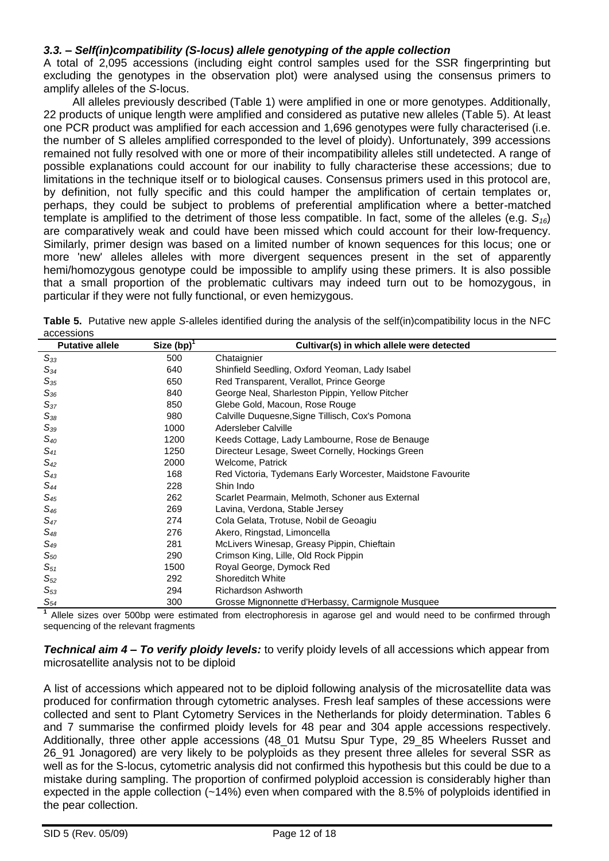## *3.3. – Self(in)compatibility (S-locus) allele genotyping of the apple collection*

A total of 2,095 accessions (including eight control samples used for the SSR fingerprinting but excluding the genotypes in the observation plot) were analysed using the consensus primers to amplify alleles of the *S*-locus.

All alleles previously described (Table 1) were amplified in one or more genotypes. Additionally, 22 products of unique length were amplified and considered as putative new alleles (Table 5). At least one PCR product was amplified for each accession and 1,696 genotypes were fully characterised (i.e. the number of S alleles amplified corresponded to the level of ploidy). Unfortunately, 399 accessions remained not fully resolved with one or more of their incompatibility alleles still undetected. A range of possible explanations could account for our inability to fully characterise these accessions; due to limitations in the technique itself or to biological causes. Consensus primers used in this protocol are, by definition, not fully specific and this could hamper the amplification of certain templates or, perhaps, they could be subject to problems of preferential amplification where a better-matched template is amplified to the detriment of those less compatible. In fact, some of the alleles (e.g. *S16*) are comparatively weak and could have been missed which could account for their low-frequency. Similarly, primer design was based on a limited number of known sequences for this locus; one or more 'new' alleles alleles with more divergent sequences present in the set of apparently hemi/homozygous genotype could be impossible to amplify using these primers. It is also possible that a small proportion of the problematic cultivars may indeed turn out to be homozygous, in particular if they were not fully functional, or even hemizygous.

|            | <b>Dutative allale</b>                                                                                                    | $\text{Ciza}/\text{hml}$ |  |  |  | Cultivar(s) in which allele were detected |  |  |  |
|------------|---------------------------------------------------------------------------------------------------------------------------|--------------------------|--|--|--|-------------------------------------------|--|--|--|
| accessions |                                                                                                                           |                          |  |  |  |                                           |  |  |  |
|            | <b>Table 5.</b> Putative new apple S-alleles identified during the analysis of the self(in)compatibility locus in the NFC |                          |  |  |  |                                           |  |  |  |

| <b>Putative allele</b> | Size $(bp)^{1}$ | Cultivar(s) in which allele were detected                   |  |  |
|------------------------|-----------------|-------------------------------------------------------------|--|--|
| $S_{33}$               | 500             | Chataignier                                                 |  |  |
| $S_{34}$               | 640             | Shinfield Seedling, Oxford Yeoman, Lady Isabel              |  |  |
| $S_{35}$               | 650             | Red Transparent, Verallot, Prince George                    |  |  |
| $\mathcal{S}_{36}$     | 840             | George Neal, Sharleston Pippin, Yellow Pitcher              |  |  |
| $S_{37}$               | 850             | Glebe Gold, Macoun, Rose Rouge                              |  |  |
| $S_{38}$               | 980             | Calville Duquesne, Signe Tillisch, Cox's Pomona             |  |  |
| $S_{39}$               | 1000            | Adersleber Calville                                         |  |  |
| $S_{40}$               | 1200            | Keeds Cottage, Lady Lambourne, Rose de Benauge              |  |  |
| $S_{41}$               | 1250            | Directeur Lesage, Sweet Cornelly, Hockings Green            |  |  |
| $S_{42}$               | 2000            | Welcome, Patrick                                            |  |  |
| $S_{43}$               | 168             | Red Victoria, Tydemans Early Worcester, Maidstone Favourite |  |  |
| S <sub>44</sub>        | 228             | Shin Indo                                                   |  |  |
| $S_{45}$               | 262             | Scarlet Pearmain, Melmoth, Schoner aus External             |  |  |
| $S_{46}$               | 269             | Lavina, Verdona, Stable Jersey                              |  |  |
| $S_{47}$               | 274             | Cola Gelata, Trotuse, Nobil de Geoagiu                      |  |  |
| $S_{48}$               | 276             | Akero, Ringstad, Limoncella                                 |  |  |
| $S_{49}$               | 281             | McLivers Winesap, Greasy Pippin, Chieftain                  |  |  |
| $\mathcal{S}_{50}$     | 290             | Crimson King, Lille, Old Rock Pippin                        |  |  |
| $S_{51}$               | 1500            | Royal George, Dymock Red                                    |  |  |
| $S_{52}$               | 292             | Shoreditch White                                            |  |  |
| $S_{53}$               | 294             | Richardson Ashworth                                         |  |  |
| $S_{54}$               | 300             | Grosse Mignonnette d'Herbassy, Carmignole Musquee           |  |  |

**1** Allele sizes over 500bp were estimated from electrophoresis in agarose gel and would need to be confirmed through sequencing of the relevant fragments

*Technical aim 4 – To verify ploidy levels:* to verify ploidy levels of all accessions which appear from microsatellite analysis not to be diploid

A list of accessions which appeared not to be diploid following analysis of the microsatellite data was produced for confirmation through cytometric analyses. Fresh leaf samples of these accessions were collected and sent to Plant Cytometry Services in the Netherlands for ploidy determination. Tables 6 and 7 summarise the confirmed ploidy levels for 48 pear and 304 apple accessions respectively. Additionally, three other apple accessions (48\_01 Mutsu Spur Type, 29\_85 Wheelers Russet and 26\_91 Jonagored) are very likely to be polyploids as they present three alleles for several SSR as well as for the S-locus, cytometric analysis did not confirmed this hypothesis but this could be due to a mistake during sampling. The proportion of confirmed polyploid accession is considerably higher than expected in the apple collection (~14%) even when compared with the 8.5% of polyploids identified in the pear collection.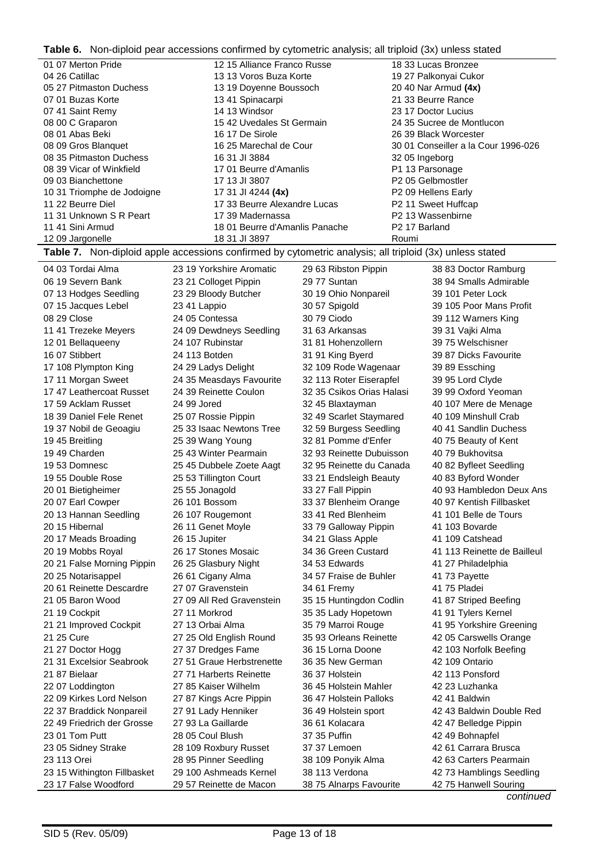**Table 6.** Non-diploid pear accessions confirmed by cytometric analysis; all triploid (3x) unless stated

|                                                 | <b>rabic v.</b> Twill diploid pour accessions committed by cytometric analysis, an imploid (ox) unicss stated |                           |                                            |  |  |
|-------------------------------------------------|---------------------------------------------------------------------------------------------------------------|---------------------------|--------------------------------------------|--|--|
| 01 07 Merton Pride                              | 12 15 Alliance Franco Russe                                                                                   |                           | 18 33 Lucas Bronzee                        |  |  |
| 04 26 Catillac                                  | 13 13 Voros Buza Korte                                                                                        |                           | 19 27 Palkonyai Cukor                      |  |  |
| 05 27 Pitmaston Duchess                         | 13 19 Doyenne Boussoch                                                                                        |                           | 20 40 Nar Armud (4x)                       |  |  |
| 07 01 Buzas Korte                               | 13 41 Spinacarpi                                                                                              |                           | 21 33 Beurre Rance                         |  |  |
| 07 41 Saint Remy                                | 14 13 Windsor                                                                                                 |                           | 23 17 Doctor Lucius                        |  |  |
| 08 00 C Graparon                                | 15 42 Uvedales St Germain                                                                                     |                           | 24 35 Sucree de Montlucon                  |  |  |
| 08 01 Abas Beki                                 | 16 17 De Sirole                                                                                               |                           | 26 39 Black Worcester                      |  |  |
| 08 09 Gros Blanquet                             | 16 25 Marechal de Cour                                                                                        |                           | 30 01 Conseiller a la Cour 1996-026        |  |  |
| 08 35 Pitmaston Duchess                         | 16 31 JI 3884                                                                                                 |                           | 32 05 Ingeborg                             |  |  |
| 08 39 Vicar of Winkfield                        | 17 01 Beurre d'Amanlis                                                                                        |                           | P1 13 Parsonage                            |  |  |
| 09 03 Bianchettone                              | 17 13 JI 3807<br>17 31 JI 4244 (4x)                                                                           |                           | P2 05 Gelbmostler                          |  |  |
| 10 31 Triomphe de Jodoigne<br>11 22 Beurre Diel | 17 33 Beurre Alexandre Lucas                                                                                  |                           | P2 09 Hellens Early<br>P2 11 Sweet Huffcap |  |  |
| 11 31 Unknown S R Peart                         | 17 39 Madernassa                                                                                              |                           | P2 13 Wassenbirne                          |  |  |
| 11 41 Sini Armud                                | 18 01 Beurre d'Amanlis Panache                                                                                |                           | P2 17 Barland                              |  |  |
| 12 09 Jargonelle                                | 18 31 JI 3897                                                                                                 |                           | Roumi                                      |  |  |
|                                                 | Table 7. Non-diploid apple accessions confirmed by cytometric analysis; all triploid (3x) unless stated       |                           |                                            |  |  |
|                                                 |                                                                                                               |                           |                                            |  |  |
| 04 03 Tordai Alma                               | 23 19 Yorkshire Aromatic                                                                                      | 29 63 Ribston Pippin      | 38 83 Doctor Ramburg                       |  |  |
| 06 19 Severn Bank                               | 23 21 Colloget Pippin                                                                                         | 29 77 Suntan              | 38 94 Smalls Admirable                     |  |  |
| 07 13 Hodges Seedling                           | 23 29 Bloody Butcher                                                                                          | 30 19 Ohio Nonpareil      | 39 101 Peter Lock                          |  |  |
| 07 15 Jacques Lebel                             | 23 41 Lappio                                                                                                  | 30 57 Spigold             | 39 105 Poor Mans Profit                    |  |  |
| 08 29 Close                                     | 24 05 Contessa                                                                                                | 30 79 Ciodo               | 39 112 Warners King                        |  |  |
| 11 41 Trezeke Meyers                            | 24 09 Dewdneys Seedling                                                                                       | 31 63 Arkansas            | 39 31 Vajki Alma                           |  |  |
| 12 01 Bellaqueeny                               | 24 107 Rubinstar                                                                                              | 31 81 Hohenzollern        | 39 75 Welschisner                          |  |  |
| 16 07 Stibbert                                  | 24 113 Botden                                                                                                 | 31 91 King Byerd          | 39 87 Dicks Favourite                      |  |  |
| 17 108 Plympton King                            | 24 29 Ladys Delight                                                                                           | 32 109 Rode Wagenaar      | 39 89 Essching                             |  |  |
| 17 11 Morgan Sweet                              | 24 35 Measdays Favourite                                                                                      | 32 113 Roter Eiserapfel   | 39 95 Lord Clyde                           |  |  |
| 1747 Leathercoat Russet                         | 24 39 Reinette Coulon                                                                                         | 32 35 Csikos Orias Halasi | 39 99 Oxford Yeoman                        |  |  |
| 17 59 Acklam Russet                             | 24 99 Jored                                                                                                   | 32 45 Blaxtayman          | 40 107 Mere de Menage                      |  |  |
| 18 39 Daniel Fele Renet                         | 25 07 Rossie Pippin                                                                                           | 32 49 Scarlet Staymared   | 40 109 Minshull Crab                       |  |  |
| 19 37 Nobil de Geoagiu                          | 25 33 Isaac Newtons Tree                                                                                      | 32 59 Burgess Seedling    | 40 41 Sandlin Duchess                      |  |  |
| 19 45 Breitling                                 | 25 39 Wang Young                                                                                              | 32 81 Pomme d'Enfer       | 40 75 Beauty of Kent                       |  |  |
| 19 49 Charden                                   | 25 43 Winter Pearmain                                                                                         | 32 93 Reinette Dubuisson  | 40 79 Bukhovitsa                           |  |  |
| 1953 Domnesc                                    | 25 45 Dubbele Zoete Aagt                                                                                      | 32 95 Reinette du Canada  | 40 82 Byfleet Seedling                     |  |  |
| 1955 Double Rose                                | 25 53 Tillington Court                                                                                        | 33 21 Endsleigh Beauty    | 40 83 Byford Wonder                        |  |  |
| 20 01 Bietigheimer                              | 25 55 Jonagold                                                                                                | 33 27 Fall Pippin         | 40 93 Hambledon Deux Ans                   |  |  |
| 20 07 Earl Cowper                               | 26 101 Bossom                                                                                                 | 33 37 Blenheim Orange     | 40 97 Kentish Fillbasket                   |  |  |
| 2013 Hannan Seedling                            | 26 107 Rougemont                                                                                              | 33 41 Red Blenheim        | 41 101 Belle de Tours                      |  |  |
| 20 15 Hibernal                                  | 26 11 Genet Moyle                                                                                             | 33 79 Galloway Pippin     | 41 103 Bovarde                             |  |  |
| 20 17 Meads Broading                            | 26 15 Jupiter                                                                                                 | 34 21 Glass Apple         | 41 109 Catshead                            |  |  |
| 20 19 Mobbs Royal                               | 26 17 Stones Mosaic                                                                                           | 34 36 Green Custard       | 41 113 Reinette de Bailleul                |  |  |
| 20 21 False Morning Pippin                      | 26 25 Glasbury Night                                                                                          | 34 53 Edwards             | 41 27 Philadelphia                         |  |  |
| 20 25 Notarisappel                              | 26 61 Cigany Alma                                                                                             | 34 57 Fraise de Buhler    | 41 73 Payette                              |  |  |
| 20 61 Reinette Descardre                        | 27 07 Gravenstein                                                                                             | 34 61 Fremy               | 41 75 Pladei                               |  |  |
| 21 05 Baron Wood                                | 27 09 All Red Gravenstein                                                                                     | 35 15 Huntingdon Codlin   | 41 87 Striped Beefing                      |  |  |
| 21 19 Cockpit                                   | 27 11 Morkrod                                                                                                 | 35 35 Lady Hopetown       | 41 91 Tylers Kernel                        |  |  |
| 21 21 Improved Cockpit                          | 27 13 Orbai Alma                                                                                              | 35 79 Marroi Rouge        | 41 95 Yorkshire Greening                   |  |  |
| 21 25 Cure                                      | 27 25 Old English Round                                                                                       | 35 93 Orleans Reinette    | 42 05 Carswells Orange                     |  |  |
| 21 27 Doctor Hogg                               | 27 37 Dredges Fame                                                                                            | 36 15 Lorna Doone         | 42 103 Norfolk Beefing                     |  |  |
| 21 31 Excelsior Seabrook                        | 27 51 Graue Herbstrenette                                                                                     | 36 35 New German          | 42 109 Ontario                             |  |  |
| 21 87 Bielaar                                   | 27 71 Harberts Reinette                                                                                       | 36 37 Holstein            | 42 113 Ponsford                            |  |  |
| 22 07 Loddington                                | 27 85 Kaiser Wilhelm                                                                                          | 36 45 Holstein Mahler     | 42 23 Luzhanka                             |  |  |
| 22 09 Kirkes Lord Nelson                        | 27 87 Kings Acre Pippin                                                                                       | 36 47 Holstein Palloks    | 42 41 Baldwin                              |  |  |
| 22 37 Braddick Nonpareil                        | 27 91 Lady Henniker                                                                                           | 36 49 Holstein sport      | 42 43 Baldwin Double Red                   |  |  |
| 22 49 Friedrich der Grosse                      | 27 93 La Gaillarde                                                                                            | 36 61 Kolacara            | 42 47 Belledge Pippin                      |  |  |
| 23 01 Tom Putt                                  | 28 05 Coul Blush                                                                                              | 37 35 Puffin              | 42 49 Bohnapfel                            |  |  |
| 23 05 Sidney Strake                             | 28 109 Roxbury Russet                                                                                         | 37 37 Lemoen              | 42 61 Carrara Brusca                       |  |  |
| 23 113 Orei                                     | 28 95 Pinner Seedling                                                                                         | 38 109 Ponyik Alma        | 42 63 Carters Pearmain                     |  |  |
| 23 15 Withington Fillbasket                     | 29 100 Ashmeads Kernel                                                                                        | 38 113 Verdona            | 42 73 Hamblings Seedling                   |  |  |
| 23 17 False Woodford                            | 29 57 Reinette de Macon                                                                                       | 38 75 Alnarps Favourite   | 42 75 Hanwell Souring                      |  |  |

*continued*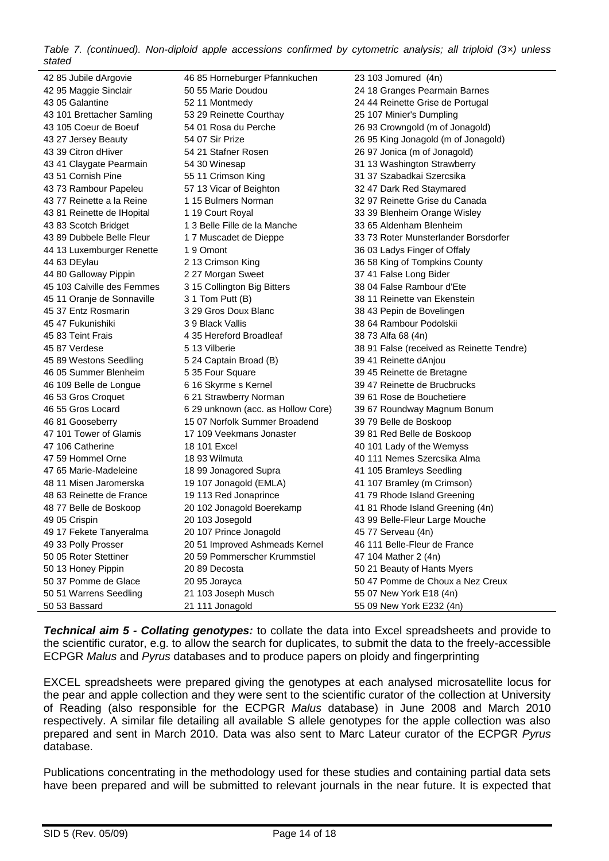*Table 7. (continued). Non-diploid apple accessions confirmed by cytometric analysis; all triploid (3×) unless stated*

| 42 85 Jubile dArgovie      | 46 85 Horneburger Pfannkuchen      | 23 103 Jomured (4n)                       |
|----------------------------|------------------------------------|-------------------------------------------|
| 42 95 Maggie Sinclair      | 50 55 Marie Doudou                 | 24 18 Granges Pearmain Barnes             |
| 43 05 Galantine            | 52 11 Montmedy                     | 24 44 Reinette Grise de Portugal          |
| 43 101 Brettacher Samling  | 53 29 Reinette Courthay            | 25 107 Minier's Dumpling                  |
| 43 105 Coeur de Boeuf      | 54 01 Rosa du Perche               | 26 93 Crowngold (m of Jonagold)           |
| 43 27 Jersey Beauty        | 54 07 Sir Prize                    | 26 95 King Jonagold (m of Jonagold)       |
| 43 39 Citron dHiver        | 54 21 Stafner Rosen                | 26 97 Jonica (m of Jonagold)              |
| 43 41 Claygate Pearmain    | 54 30 Winesap                      | 31 13 Washington Strawberry               |
| 43 51 Cornish Pine         | 55 11 Crimson King                 | 31 37 Szabadkai Szercsika                 |
| 43 73 Rambour Papeleu      | 57 13 Vicar of Beighton            | 32 47 Dark Red Staymared                  |
| 43 77 Reinette a la Reine  | 115 Bulmers Norman                 | 32 97 Reinette Grise du Canada            |
| 43 81 Reinette de IHopital | 1 19 Court Royal                   | 33 39 Blenheim Orange Wisley              |
| 43 83 Scotch Bridget       | 13 Belle Fille de la Manche        | 33 65 Aldenham Blenheim                   |
| 43 89 Dubbele Belle Fleur  | 17 Muscadet de Dieppe              | 33 73 Roter Munsterlander Borsdorfer      |
| 44 13 Luxemburger Renette  | 19 Omont                           | 36 03 Ladys Finger of Offaly              |
| 44 63 DEylau               | 2 13 Crimson King                  | 36 58 King of Tompkins County             |
| 44 80 Galloway Pippin      | 2 27 Morgan Sweet                  | 37 41 False Long Bider                    |
| 45 103 Calville des Femmes | 3 15 Collington Big Bitters        | 38 04 False Rambour d'Ete                 |
| 45 11 Oranje de Sonnaville | 3 1 Tom Putt (B)                   | 38 11 Reinette van Ekenstein              |
| 45 37 Entz Rosmarin        | 3 29 Gros Doux Blanc               | 38 43 Pepin de Bovelingen                 |
| 45 47 Fukunishiki          | 39 Black Vallis                    | 38 64 Rambour Podolskii                   |
| 45 83 Teint Frais          | 4 35 Hereford Broadleaf            | 38 73 Alfa 68 (4n)                        |
| 45 87 Verdese              | 5 13 Vilberie                      | 38 91 False (received as Reinette Tendre) |
| 45 89 Westons Seedling     | 5 24 Captain Broad (B)             | 39 41 Reinette dAnjou                     |
| 46 05 Summer Blenheim      | 5 35 Four Square                   | 39 45 Reinette de Bretagne                |
| 46 109 Belle de Longue     | 6 16 Skyrme s Kernel               | 39 47 Reinette de Brucbrucks              |
| 46 53 Gros Croquet         | 6 21 Strawberry Norman             | 39 61 Rose de Bouchetiere                 |
| 46 55 Gros Locard          | 6 29 unknown (acc. as Hollow Core) | 39 67 Roundway Magnum Bonum               |
| 46 81 Gooseberry           | 15 07 Norfolk Summer Broadend      | 39 79 Belle de Boskoop                    |
| 47 101 Tower of Glamis     | 17 109 Veekmans Jonaster           | 39 81 Red Belle de Boskoop                |
| 47 106 Catherine           | 18 101 Excel                       | 40 101 Lady of the Wemyss                 |
| 47 59 Hommel Orne          | 18 93 Wilmuta                      | 40 111 Nemes Szercsika Alma               |
| 47 65 Marie-Madeleine      | 18 99 Jonagored Supra              | 41 105 Bramleys Seedling                  |
| 48 11 Misen Jaromerska     | 19 107 Jonagold (EMLA)             | 41 107 Bramley (m Crimson)                |
| 48 63 Reinette de France   | 19 113 Red Jonaprince              | 41 79 Rhode Island Greening               |
| 48 77 Belle de Boskoop     | 20 102 Jonagold Boerekamp          | 41 81 Rhode Island Greening (4n)          |
| 49 05 Crispin              | 20 103 Josegold                    | 43 99 Belle-Fleur Large Mouche            |
| 49 17 Fekete Tanyeralma    | 20 107 Prince Jonagold             | 45 77 Serveau (4n)                        |
| 49 33 Polly Prosser        | 20 51 Improved Ashmeads Kernel     | 46 111 Belle-Fleur de France              |
| 50 05 Roter Stettiner      | 20 59 Pommerscher Krummstiel       | 47 104 Mather 2 (4n)                      |
| 50 13 Honey Pippin         | 20 89 Decosta                      | 50 21 Beauty of Hants Myers               |
| 50 37 Pomme de Glace       | 20 95 Jorayca                      | 50 47 Pomme de Choux a Nez Creux          |
| 50 51 Warrens Seedling     | 21 103 Joseph Musch                | 55 07 New York E18 (4n)                   |
| 50 53 Bassard              | 21 111 Jonagold                    | 55 09 New York E232 (4n)                  |

*Technical aim 5 - Collating genotypes:* to collate the data into Excel spreadsheets and provide to the scientific curator, e.g. to allow the search for duplicates, to submit the data to the freely-accessible ECPGR *Malus* and *Pyrus* databases and to produce papers on ploidy and fingerprinting

EXCEL spreadsheets were prepared giving the genotypes at each analysed microsatellite locus for the pear and apple collection and they were sent to the scientific curator of the collection at University of Reading (also responsible for the ECPGR *Malus* database) in June 2008 and March 2010 respectively. A similar file detailing all available S allele genotypes for the apple collection was also prepared and sent in March 2010. Data was also sent to Marc Lateur curator of the ECPGR *Pyrus* database.

Publications concentrating in the methodology used for these studies and containing partial data sets have been prepared and will be submitted to relevant journals in the near future. It is expected that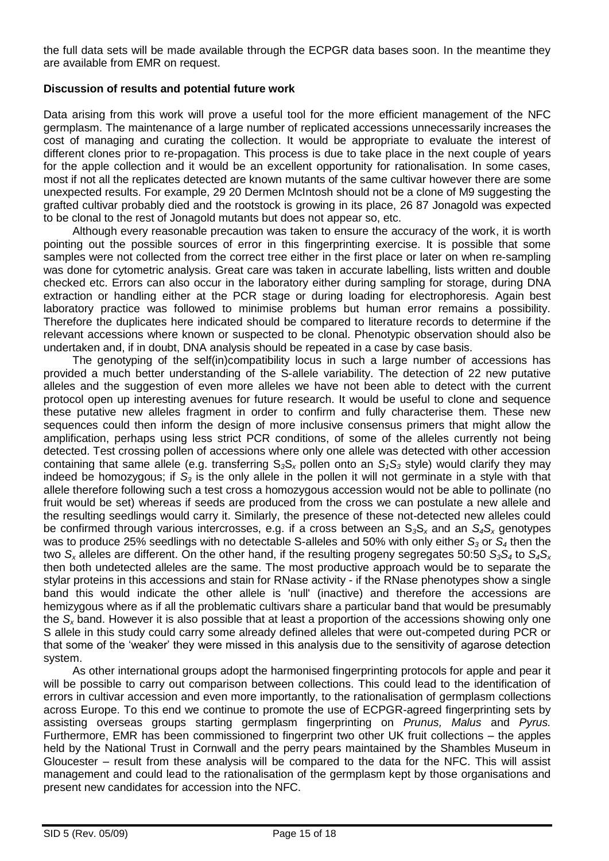the full data sets will be made available through the ECPGR data bases soon. In the meantime they are available from EMR on request.

## **Discussion of results and potential future work**

Data arising from this work will prove a useful tool for the more efficient management of the NFC germplasm. The maintenance of a large number of replicated accessions unnecessarily increases the cost of managing and curating the collection. It would be appropriate to evaluate the interest of different clones prior to re-propagation. This process is due to take place in the next couple of years for the apple collection and it would be an excellent opportunity for rationalisation. In some cases, most if not all the replicates detected are known mutants of the same cultivar however there are some unexpected results. For example, 29 20 Dermen McIntosh should not be a clone of M9 suggesting the grafted cultivar probably died and the rootstock is growing in its place, 26 87 Jonagold was expected to be clonal to the rest of Jonagold mutants but does not appear so, etc.

Although every reasonable precaution was taken to ensure the accuracy of the work, it is worth pointing out the possible sources of error in this fingerprinting exercise. It is possible that some samples were not collected from the correct tree either in the first place or later on when re-sampling was done for cytometric analysis. Great care was taken in accurate labelling, lists written and double checked etc. Errors can also occur in the laboratory either during sampling for storage, during DNA extraction or handling either at the PCR stage or during loading for electrophoresis. Again best laboratory practice was followed to minimise problems but human error remains a possibility. Therefore the duplicates here indicated should be compared to literature records to determine if the relevant accessions where known or suspected to be clonal. Phenotypic observation should also be undertaken and, if in doubt, DNA analysis should be repeated in a case by case basis.

The genotyping of the self(in)compatibility locus in such a large number of accessions has provided a much better understanding of the S-allele variability. The detection of 22 new putative alleles and the suggestion of even more alleles we have not been able to detect with the current protocol open up interesting avenues for future research. It would be useful to clone and sequence these putative new alleles fragment in order to confirm and fully characterise them. These new sequences could then inform the design of more inclusive consensus primers that might allow the amplification, perhaps using less strict PCR conditions, of some of the alleles currently not being detected. Test crossing pollen of accessions where only one allele was detected with other accession containing that same allele (e.g. transferring  $S_3S_x$  pollen onto an  $S_4S_3$  style) would clarify they may indeed be homozygous; if *S<sup>3</sup>* is the only allele in the pollen it will not germinate in a style with that allele therefore following such a test cross a homozygous accession would not be able to pollinate (no fruit would be set) whereas if seeds are produced from the cross we can postulate a new allele and the resulting seedlings would carry it. Similarly, the presence of these not-detected new alleles could be confirmed through various intercrosses, e.g. if a cross between an S*3*S*<sup>x</sup>* and an *S4S<sup>x</sup>* genotypes was to produce 25% seedlings with no detectable S-alleles and 50% with only either *S<sup>3</sup>* or *S<sup>4</sup>* then the two *S<sup>x</sup>* alleles are different. On the other hand, if the resulting progeny segregates 50:50 *S3S<sup>4</sup>* to *S4S<sup>x</sup>* then both undetected alleles are the same. The most productive approach would be to separate the stylar proteins in this accessions and stain for RNase activity - if the RNase phenotypes show a single band this would indicate the other allele is 'null' (inactive) and therefore the accessions are hemizygous where as if all the problematic cultivars share a particular band that would be presumably the *S<sup>x</sup>* band. However it is also possible that at least a proportion of the accessions showing only one S allele in this study could carry some already defined alleles that were out-competed during PCR or that some of the "weaker" they were missed in this analysis due to the sensitivity of agarose detection system.

As other international groups adopt the harmonised fingerprinting protocols for apple and pear it will be possible to carry out comparison between collections. This could lead to the identification of errors in cultivar accession and even more importantly, to the rationalisation of germplasm collections across Europe. To this end we continue to promote the use of ECPGR-agreed fingerprinting sets by assisting overseas groups starting germplasm fingerprinting on *Prunus, Malus* and *Pyrus.*  Furthermore, EMR has been commissioned to fingerprint two other UK fruit collections – the apples held by the National Trust in Cornwall and the perry pears maintained by the Shambles Museum in Gloucester – result from these analysis will be compared to the data for the NFC. This will assist management and could lead to the rationalisation of the germplasm kept by those organisations and present new candidates for accession into the NFC.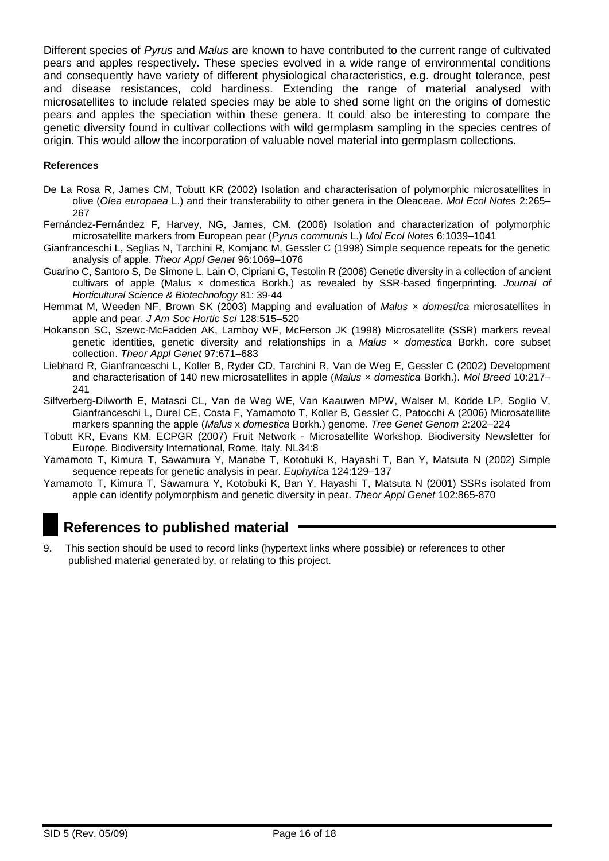Different species of *Pyrus* and *Malus* are known to have contributed to the current range of cultivated pears and apples respectively. These species evolved in a wide range of environmental conditions and consequently have variety of different physiological characteristics, e.g. drought tolerance, pest and disease resistances, cold hardiness. Extending the range of material analysed with microsatellites to include related species may be able to shed some light on the origins of domestic pears and apples the speciation within these genera. It could also be interesting to compare the genetic diversity found in cultivar collections with wild germplasm sampling in the species centres of origin. This would allow the incorporation of valuable novel material into germplasm collections.

#### **References**

- De La Rosa R, James CM, Tobutt KR (2002) Isolation and characterisation of polymorphic microsatellites in olive (*Olea europaea* L.) and their transferability to other genera in the Oleaceae. *Mol Ecol Notes* 2:265– 267
- Fernández-Fernández F, Harvey, NG, James, CM. (2006) Isolation and characterization of polymorphic microsatellite markers from European pear (*Pyrus communis* L.) *Mol Ecol Notes* 6:1039–1041
- Gianfranceschi L, Seglias N, Tarchini R, Komjanc M, Gessler C (1998) Simple sequence repeats for the genetic analysis of apple. *Theor Appl Genet* 96:1069–1076
- Guarino C, Santoro S, De Simone L, Lain O, Cipriani G, Testolin R (2006) Genetic diversity in a collection of ancient cultivars of apple (Malus × domestica Borkh.) as revealed by SSR-based fingerprinting. *Journal of Horticultural Science & Biotechnology* 81: 39-44
- Hemmat M, Weeden NF, Brown SK (2003) Mapping and evaluation of *Malus × domestica* microsatellites in apple and pear. *J Am Soc Hortic Sci* 128:515–520
- Hokanson SC, Szewc-McFadden AK, Lamboy WF, McFerson JK (1998) Microsatellite (SSR) markers reveal genetic identities, genetic diversity and relationships in a *Malus × domestica* Borkh. core subset collection. *Theor Appl Genet* 97:671–683
- Liebhard R, Gianfranceschi L, Koller B, Ryder CD, Tarchini R, Van de Weg E, Gessler C (2002) Development and characterisation of 140 new microsatellites in apple (*Malus × domestica* Borkh.). *Mol Breed* 10:217– 241
- Silfverberg-Dilworth E, Matasci CL, Van de Weg WE, Van Kaauwen MPW, Walser M, Kodde LP, Soglio V, Gianfranceschi L, Durel CE, Costa F, Yamamoto T, Koller B, Gessler C, Patocchi A (2006) Microsatellite markers spanning the apple (*Malus* x *domestica* Borkh.) genome. *Tree Genet Genom* 2:202–224
- Tobutt KR, Evans KM. ECPGR (2007) Fruit Network Microsatellite Workshop. Biodiversity Newsletter for Europe. Biodiversity International, Rome, Italy. NL34:8
- Yamamoto T, Kimura T, Sawamura Y, Manabe T, Kotobuki K, Hayashi T, Ban Y, Matsuta N (2002) Simple sequence repeats for genetic analysis in pear. *Euphytica* 124:129–137
- Yamamoto T, Kimura T, Sawamura Y, Kotobuki K, Ban Y, Hayashi T, Matsuta N (2001) SSRs isolated from apple can identify polymorphism and genetic diversity in pear. *Theor Appl Genet* 102:865-870

# **References to published material**

9. This section should be used to record links (hypertext links where possible) or references to other published material generated by, or relating to this project.